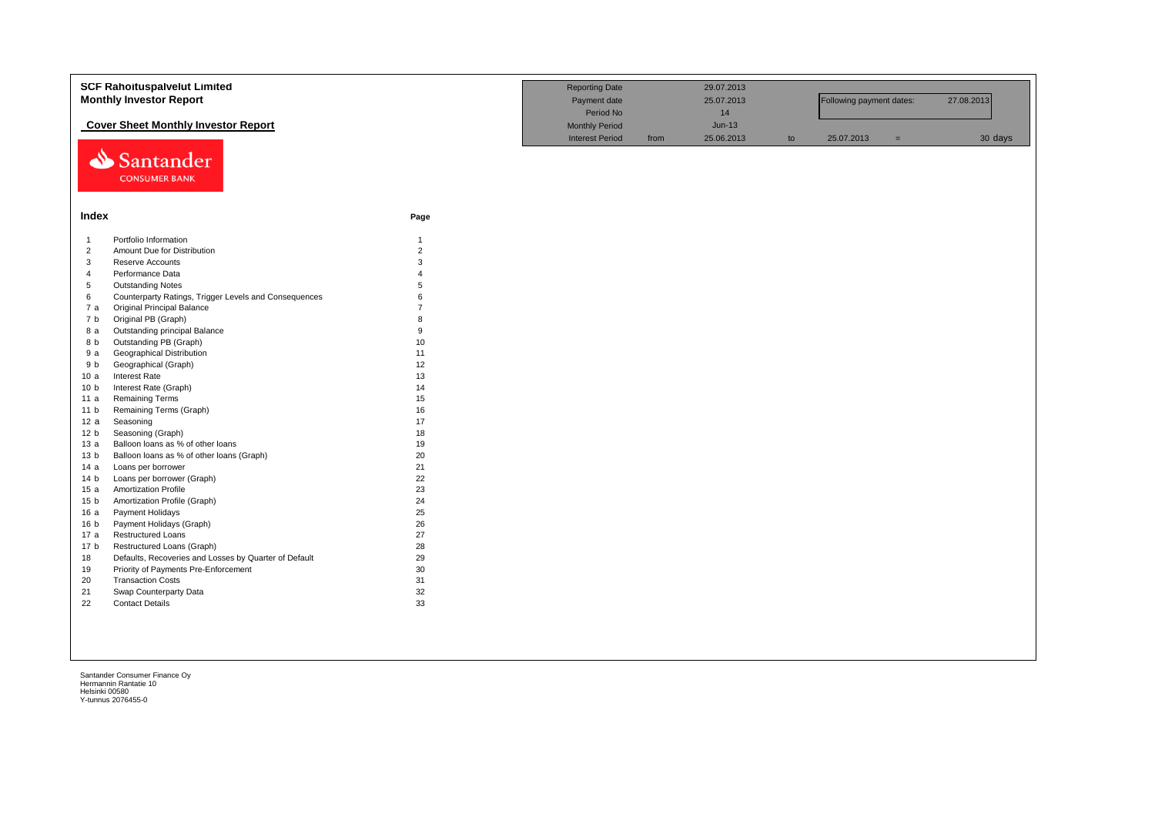|                 | <b>SCF Rahoituspalvelut Limited</b><br><b>Monthly Investor Report</b> | <b>Reporting Date</b><br>Payment date |                        | 29.07.2013<br>25.07.2013 |            | Following payment dates:<br>27.08.2013 |            |     |         |
|-----------------|-----------------------------------------------------------------------|---------------------------------------|------------------------|--------------------------|------------|----------------------------------------|------------|-----|---------|
|                 |                                                                       |                                       | Period No              |                          | 14         |                                        |            |     |         |
|                 | <b>Cover Sheet Monthly Investor Report</b>                            |                                       | <b>Monthly Period</b>  |                          | $Jun-13$   |                                        |            |     |         |
|                 | Santander<br><b>CONSUMER BANK</b>                                     |                                       | <b>Interest Period</b> | from                     | 25.06.2013 | to                                     | 25.07.2013 | $=$ | 30 days |
| Index           |                                                                       | Page                                  |                        |                          |            |                                        |            |     |         |
| $\overline{1}$  | Portfolio Information                                                 | $\mathbf{1}$                          |                        |                          |            |                                        |            |     |         |
| $\overline{2}$  | Amount Due for Distribution                                           | $\overline{2}$                        |                        |                          |            |                                        |            |     |         |
| 3               | Reserve Accounts                                                      | 3                                     |                        |                          |            |                                        |            |     |         |
| $\overline{4}$  | Performance Data                                                      | $\Delta$                              |                        |                          |            |                                        |            |     |         |
| 5               | <b>Outstanding Notes</b>                                              | 5                                     |                        |                          |            |                                        |            |     |         |
| 6               | Counterparty Ratings, Trigger Levels and Consequences                 | 6                                     |                        |                          |            |                                        |            |     |         |
| 7a              | <b>Original Principal Balance</b>                                     |                                       |                        |                          |            |                                        |            |     |         |
| 7b              | Original PB (Graph)                                                   | $\mathsf{R}$                          |                        |                          |            |                                        |            |     |         |
| 8 a             | Outstanding principal Balance                                         | 9                                     |                        |                          |            |                                        |            |     |         |
| 8 b             | Outstanding PB (Graph)                                                | 10                                    |                        |                          |            |                                        |            |     |         |
| 9a              | <b>Geographical Distribution</b>                                      | 11                                    |                        |                          |            |                                        |            |     |         |
| 9 b             | Geographical (Graph)                                                  | 12                                    |                        |                          |            |                                        |            |     |         |
| 10a             | Interest Rate                                                         | 13                                    |                        |                          |            |                                        |            |     |         |
| 10 <sub>b</sub> | Interest Rate (Graph)                                                 | 14                                    |                        |                          |            |                                        |            |     |         |
| 11 a            | <b>Remaining Terms</b>                                                | 15                                    |                        |                          |            |                                        |            |     |         |
| 11 <sub>b</sub> | Remaining Terms (Graph)                                               | 16                                    |                        |                          |            |                                        |            |     |         |
| 12 a            | Seasoning                                                             | 17                                    |                        |                          |            |                                        |            |     |         |
| 12 <sub>b</sub> | Seasoning (Graph)                                                     | 18                                    |                        |                          |            |                                        |            |     |         |
| 13a             | Balloon loans as % of other loans                                     | 19                                    |                        |                          |            |                                        |            |     |         |
| 13 <sub>b</sub> | Balloon loans as % of other loans (Graph)                             | 20                                    |                        |                          |            |                                        |            |     |         |
| 14a             | Loans per borrower                                                    | 21                                    |                        |                          |            |                                        |            |     |         |
| 14 <sub>b</sub> | Loans per borrower (Graph)                                            | 22                                    |                        |                          |            |                                        |            |     |         |
| 15a             | <b>Amortization Profile</b>                                           | 23                                    |                        |                          |            |                                        |            |     |         |
| 15 <sub>b</sub> | Amortization Profile (Graph)                                          | 24                                    |                        |                          |            |                                        |            |     |         |
| 16a             | Payment Holidays                                                      | 25                                    |                        |                          |            |                                        |            |     |         |
| 16 <sub>b</sub> | Payment Holidays (Graph)                                              | 26                                    |                        |                          |            |                                        |            |     |         |
| 17 a            | <b>Restructured Loans</b>                                             | 27                                    |                        |                          |            |                                        |            |     |         |
| 17 <sub>b</sub> | Restructured Loans (Graph)                                            | 28                                    |                        |                          |            |                                        |            |     |         |
| 18              | Defaults, Recoveries and Losses by Quarter of Default                 | 29                                    |                        |                          |            |                                        |            |     |         |
| 19              | Priority of Payments Pre-Enforcement                                  | 30                                    |                        |                          |            |                                        |            |     |         |
| 20              | <b>Transaction Costs</b>                                              | 31                                    |                        |                          |            |                                        |            |     |         |
| 21              | Swap Counterparty Data                                                | 32                                    |                        |                          |            |                                        |            |     |         |
| 22              | <b>Contact Details</b>                                                | 33                                    |                        |                          |            |                                        |            |     |         |
|                 |                                                                       |                                       |                        |                          |            |                                        |            |     |         |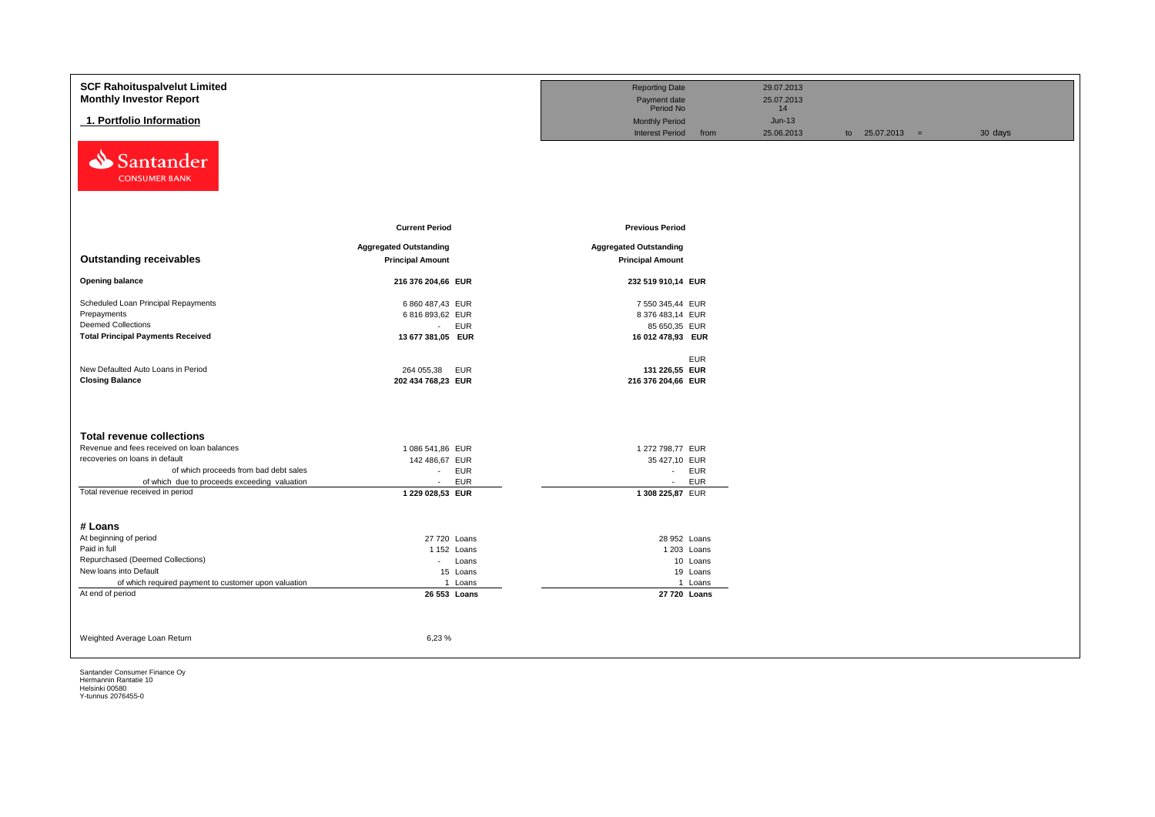| <b>SCF Rahoituspalvelut Limited</b>                  |                               | <b>Reporting Date</b>          | 29.07.2013 |                   |         |
|------------------------------------------------------|-------------------------------|--------------------------------|------------|-------------------|---------|
| <b>Monthly Investor Report</b>                       |                               | Payment date                   | 25.07.2013 |                   |         |
|                                                      |                               | Period No                      | 14         |                   |         |
| 1. Portfolio Information                             |                               | <b>Monthly Period</b>          | $Jun-13$   |                   |         |
|                                                      |                               | <b>Interest Period</b><br>from | 25.06.2013 | to $25.07.2013 =$ | 30 days |
| Santander<br>⇘<br><b>CONSUMER BANK</b>               |                               |                                |            |                   |         |
|                                                      | <b>Current Period</b>         | <b>Previous Period</b>         |            |                   |         |
|                                                      |                               |                                |            |                   |         |
|                                                      | <b>Aggregated Outstanding</b> | <b>Aggregated Outstanding</b>  |            |                   |         |
| <b>Outstanding receivables</b>                       | <b>Principal Amount</b>       | <b>Principal Amount</b>        |            |                   |         |
| <b>Opening balance</b>                               | 216 376 204,66 EUR            | 232 519 910,14 EUR             |            |                   |         |
| Scheduled Loan Principal Repayments                  | 6 860 487,43 EUR              | 7 550 345,44 EUR               |            |                   |         |
| Prepayments                                          | 6 816 893,62 EUR              | 8 376 483,14 EUR               |            |                   |         |
| <b>Deemed Collections</b>                            | <b>EUR</b><br>$\sim$          | 85 650,35 EUR                  |            |                   |         |
| <b>Total Principal Payments Received</b>             | 13 677 381,05 EUR             | 16 012 478,93 EUR              |            |                   |         |
|                                                      |                               | <b>EUR</b>                     |            |                   |         |
| New Defaulted Auto Loans in Period                   | 264 055,38<br>EUR             | 131 226,55 EUR                 |            |                   |         |
| <b>Closing Balance</b>                               | 202 434 768,23 EUR            | 216 376 204,66 EUR             |            |                   |         |
|                                                      |                               |                                |            |                   |         |
| <b>Total revenue collections</b>                     |                               |                                |            |                   |         |
| Revenue and fees received on loan balances           | 1 086 541,86 EUR              | 1 272 798,77 EUR               |            |                   |         |
| recoveries on loans in default                       | 142 486,67 EUR                | 35 427,10 EUR                  |            |                   |         |
| of which proceeds from bad debt sales                | <b>EUR</b><br>$\sim$          | - EUR                          |            |                   |         |
| of which due to proceeds exceeding valuation         | <b>EUR</b><br>$\sim$          | <b>EUR</b><br>$\sim$           |            |                   |         |
| Total revenue received in period                     | 1 229 028,53 EUR              | 1 308 225,87 EUR               |            |                   |         |
| # Loans                                              |                               |                                |            |                   |         |
| At beginning of period                               | 27 720 Loans                  | 28 952 Loans                   |            |                   |         |
| Paid in full                                         | 1152 Loans                    | 1 203 Loans                    |            |                   |         |
| Repurchased (Deemed Collections)                     | - Loans                       | 10 Loans                       |            |                   |         |
| New loans into Default                               | 15 Loans                      | 19 Loans                       |            |                   |         |
| of which required payment to customer upon valuation | 1 Loans                       | 1 Loans                        |            |                   |         |
| At end of period                                     | 26 553 Loans                  | 27 720 Loans                   |            |                   |         |
|                                                      |                               |                                |            |                   |         |
|                                                      |                               |                                |            |                   |         |
| Weighted Average Loan Return                         | 6,23%                         |                                |            |                   |         |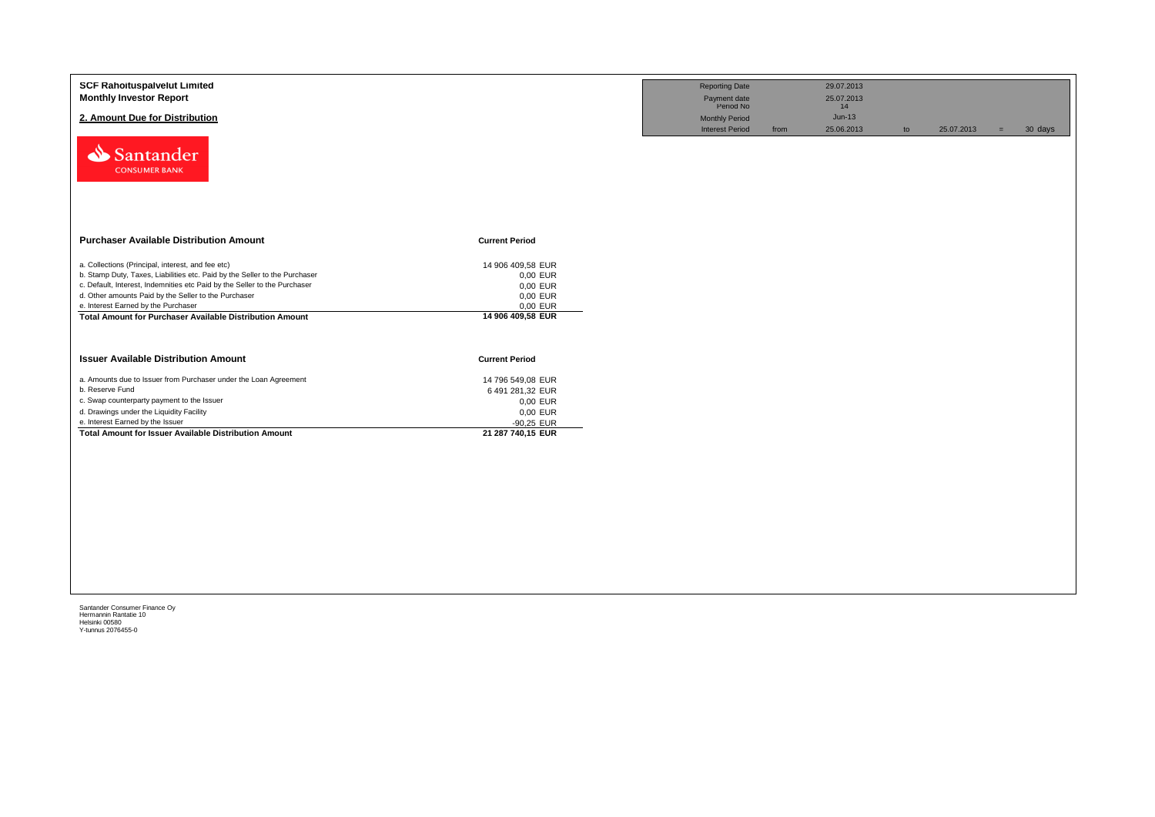| <b>SCF Rahoituspalvelut Limited</b><br><b>Monthly Investor Report</b>                                                             |                                   | <b>Reporting Date</b><br>Payment date<br>Period No | 29.07.2013<br>25.07.2013<br>14 |                  |                |
|-----------------------------------------------------------------------------------------------------------------------------------|-----------------------------------|----------------------------------------------------|--------------------------------|------------------|----------------|
| 2. Amount Due for Distribution                                                                                                    |                                   | <b>Monthly Period</b><br><b>Interest Period</b>    | $Jun-13$<br>25.06.2013<br>from | 25.07.2013<br>to | 30 days<br>$=$ |
| Santander<br><b>CONSUMER BANK</b>                                                                                                 |                                   |                                                    |                                |                  |                |
| <b>Purchaser Available Distribution Amount</b>                                                                                    | <b>Current Period</b>             |                                                    |                                |                  |                |
| a. Collections (Principal, interest, and fee etc)                                                                                 | 14 906 409,58 EUR                 |                                                    |                                |                  |                |
| b. Stamp Duty, Taxes, Liabilities etc. Paid by the Seller to the Purchaser                                                        | 0,00 EUR                          |                                                    |                                |                  |                |
| c. Default, Interest, Indemnities etc Paid by the Seller to the Purchaser<br>d. Other amounts Paid by the Seller to the Purchaser | 0,00 EUR                          |                                                    |                                |                  |                |
| e. Interest Earned by the Purchaser                                                                                               | 0,00 EUR<br>0,00 EUR              |                                                    |                                |                  |                |
| Total Amount for Purchaser Available Distribution Amount                                                                          | 14 906 409,58 EUR                 |                                                    |                                |                  |                |
| <b>Issuer Available Distribution Amount</b>                                                                                       | <b>Current Period</b>             |                                                    |                                |                  |                |
| a. Amounts due to Issuer from Purchaser under the Loan Agreement                                                                  | 14 796 549.08 EUR                 |                                                    |                                |                  |                |
| b. Reserve Fund                                                                                                                   | 6 491 281,32 EUR                  |                                                    |                                |                  |                |
| c. Swap counterparty payment to the Issuer                                                                                        | 0,00 EUR                          |                                                    |                                |                  |                |
| d. Drawings under the Liquidity Facility                                                                                          | 0,00 EUR                          |                                                    |                                |                  |                |
| e. Interest Earned by the Issuer                                                                                                  | $-90,25$ EUR<br>21 287 740,15 EUR |                                                    |                                |                  |                |
| Total Amount for Issuer Available Distribution Amount                                                                             |                                   |                                                    |                                |                  |                |
|                                                                                                                                   |                                   |                                                    |                                |                  |                |
|                                                                                                                                   |                                   |                                                    |                                |                  |                |
|                                                                                                                                   |                                   |                                                    |                                |                  |                |
|                                                                                                                                   |                                   |                                                    |                                |                  |                |
|                                                                                                                                   |                                   |                                                    |                                |                  |                |
|                                                                                                                                   |                                   |                                                    |                                |                  |                |
|                                                                                                                                   |                                   |                                                    |                                |                  |                |
|                                                                                                                                   |                                   |                                                    |                                |                  |                |
|                                                                                                                                   |                                   |                                                    |                                |                  |                |
|                                                                                                                                   |                                   |                                                    |                                |                  |                |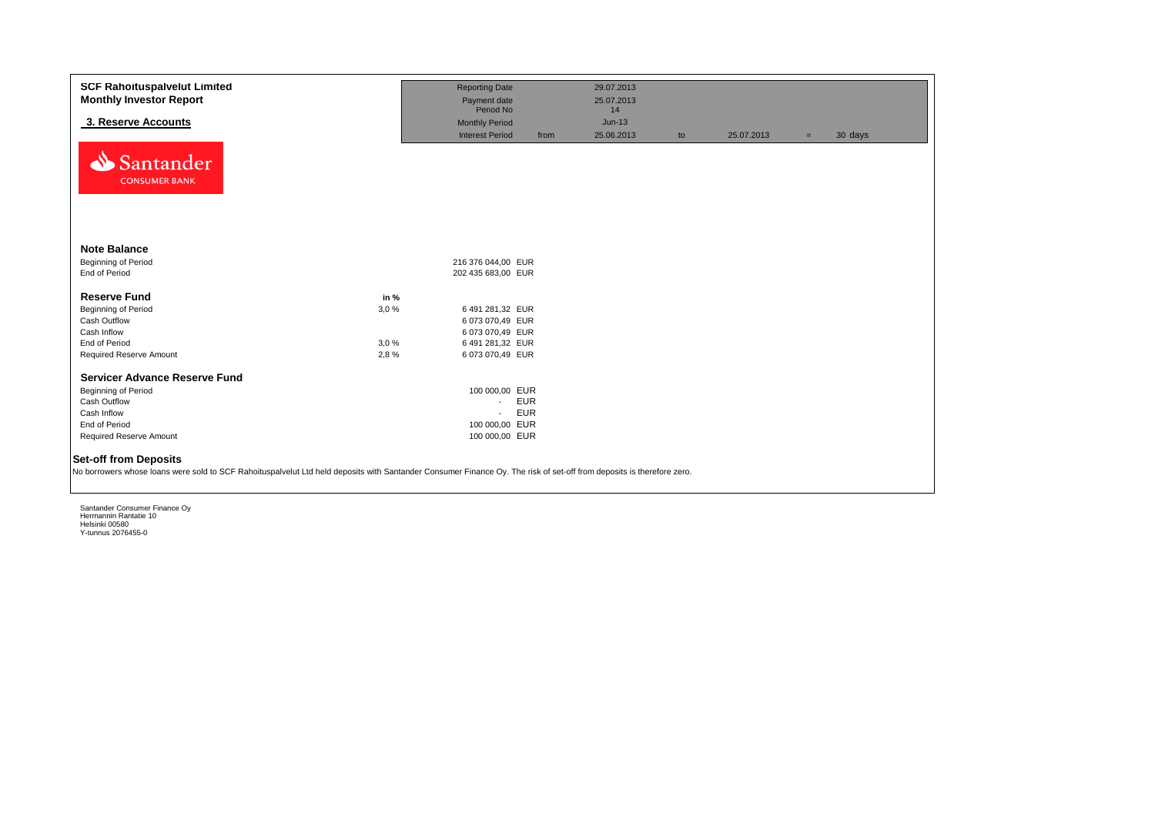| <b>SCF Rahoituspalvelut Limited</b><br><b>Monthly Investor Report</b>                                                                                                                                 |      | <b>Reporting Date</b><br>Payment date |            | 29.07.2013<br>25.07.2013 |    |            |     |         |
|-------------------------------------------------------------------------------------------------------------------------------------------------------------------------------------------------------|------|---------------------------------------|------------|--------------------------|----|------------|-----|---------|
|                                                                                                                                                                                                       |      | Period No                             |            | 14                       |    |            |     |         |
| 3. Reserve Accounts                                                                                                                                                                                   |      | <b>Monthly Period</b>                 |            | $Jun-13$                 |    |            |     |         |
|                                                                                                                                                                                                       |      | <b>Interest Period</b>                | from       | 25.06.2013               | to | 25.07.2013 | $=$ | 30 days |
| Santander<br><b>CONSUMER BANK</b>                                                                                                                                                                     |      |                                       |            |                          |    |            |     |         |
| <b>Note Balance</b>                                                                                                                                                                                   |      |                                       |            |                          |    |            |     |         |
| Beginning of Period                                                                                                                                                                                   |      | 216 376 044,00 EUR                    |            |                          |    |            |     |         |
| End of Period                                                                                                                                                                                         |      | 202 435 683,00 EUR                    |            |                          |    |            |     |         |
| <b>Reserve Fund</b>                                                                                                                                                                                   | in % |                                       |            |                          |    |            |     |         |
| <b>Beginning of Period</b>                                                                                                                                                                            | 3,0% | 6 491 281,32 EUR                      |            |                          |    |            |     |         |
| Cash Outflow                                                                                                                                                                                          |      | 6 073 070,49 EUR                      |            |                          |    |            |     |         |
| Cash Inflow                                                                                                                                                                                           |      | 6 073 070,49 EUR                      |            |                          |    |            |     |         |
| End of Period                                                                                                                                                                                         | 3,0% | 6 491 281,32 EUR                      |            |                          |    |            |     |         |
| Required Reserve Amount                                                                                                                                                                               | 2,8% | 6 073 070,49 EUR                      |            |                          |    |            |     |         |
|                                                                                                                                                                                                       |      |                                       |            |                          |    |            |     |         |
| <b>Servicer Advance Reserve Fund</b>                                                                                                                                                                  |      |                                       |            |                          |    |            |     |         |
| Beginning of Period                                                                                                                                                                                   |      | 100 000,00 EUR                        |            |                          |    |            |     |         |
| Cash Outflow                                                                                                                                                                                          |      | $\sim$                                | <b>EUR</b> |                          |    |            |     |         |
| Cash Inflow                                                                                                                                                                                           |      | $\sim$                                | <b>EUR</b> |                          |    |            |     |         |
| End of Period                                                                                                                                                                                         |      | 100 000,00 EUR                        |            |                          |    |            |     |         |
| Required Reserve Amount                                                                                                                                                                               |      | 100 000,00 EUR                        |            |                          |    |            |     |         |
| <b>Set-off from Deposits</b><br>No borrowers whose loans were sold to SCF Rahoituspalvelut Ltd held deposits with Santander Consumer Finance Oy. The risk of set-off from deposits is therefore zero. |      |                                       |            |                          |    |            |     |         |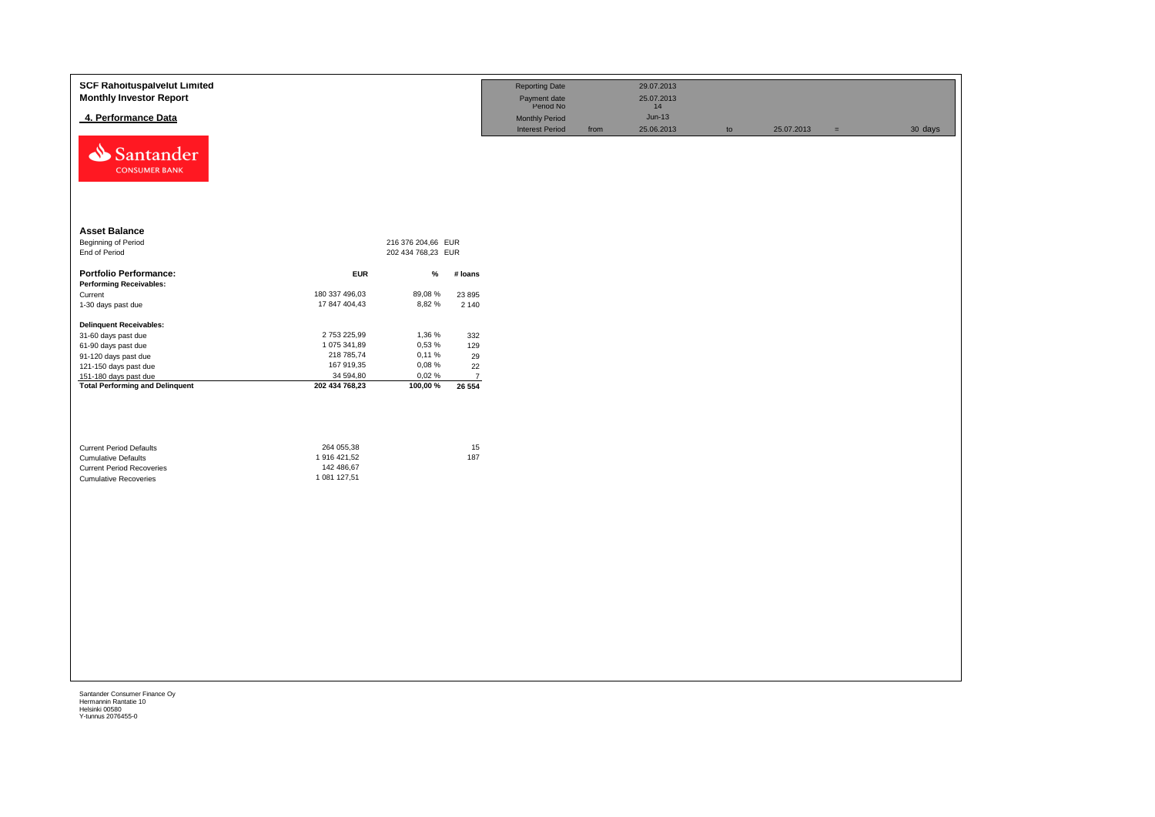| 4. Performance Data<br>$Jun-13$<br>Monthly Period<br><b>Interest Period</b><br>25.06.2013<br>25.07.2013<br>30 days<br>from<br>$\mathsf{to}$<br>$\equiv$<br>Santander<br><b>CONSUMER BANK</b><br><b>Asset Balance</b><br>Beginning of Period<br>216 376 204,66 EUR<br>End of Period<br>202 434 768,23 EUR<br><b>Portfolio Performance:</b><br><b>EUR</b><br>%<br># loans<br><b>Performing Receivables:</b><br>180 337 496,03<br>89,08%<br>Current<br>23 8 95<br>17 847 404,43<br>8,82%<br>1-30 days past due<br>2 1 4 0<br><b>Delinquent Receivables:</b><br>2753225,99<br>1,36 %<br>332<br>31-60 days past due<br>1 075 341,89<br>0,53 %<br>129<br>61-90 days past due<br>218 785,74<br>0,11%<br>29<br>91-120 days past due<br>167 919,35<br>0,08%<br>22<br>121-150 days past due<br>34 594,80<br>0,02%<br>151-180 days past due<br>$\overline{7}$<br><b>Total Performing and Delinquent</b><br>202 434 768,23<br>100,00 %<br>26 554<br>264 055,38<br>15<br><b>Current Period Defaults</b><br>1 916 421,52<br>187<br><b>Cumulative Defaults</b><br>142 486,67<br><b>Current Period Recoveries</b><br>1 081 127,51<br><b>Cumulative Recoveries</b> | <b>SCF Rahoituspalvelut Limited</b><br><b>Monthly Investor Report</b> |  | <b>Reporting Date</b><br>Payment date<br>Period No | 29.07.2013<br>25.07.2013<br>14 |  |  |
|---------------------------------------------------------------------------------------------------------------------------------------------------------------------------------------------------------------------------------------------------------------------------------------------------------------------------------------------------------------------------------------------------------------------------------------------------------------------------------------------------------------------------------------------------------------------------------------------------------------------------------------------------------------------------------------------------------------------------------------------------------------------------------------------------------------------------------------------------------------------------------------------------------------------------------------------------------------------------------------------------------------------------------------------------------------------------------------------------------------------------------------------------|-----------------------------------------------------------------------|--|----------------------------------------------------|--------------------------------|--|--|
|                                                                                                                                                                                                                                                                                                                                                                                                                                                                                                                                                                                                                                                                                                                                                                                                                                                                                                                                                                                                                                                                                                                                                   |                                                                       |  |                                                    |                                |  |  |
|                                                                                                                                                                                                                                                                                                                                                                                                                                                                                                                                                                                                                                                                                                                                                                                                                                                                                                                                                                                                                                                                                                                                                   |                                                                       |  |                                                    |                                |  |  |
|                                                                                                                                                                                                                                                                                                                                                                                                                                                                                                                                                                                                                                                                                                                                                                                                                                                                                                                                                                                                                                                                                                                                                   |                                                                       |  |                                                    |                                |  |  |
|                                                                                                                                                                                                                                                                                                                                                                                                                                                                                                                                                                                                                                                                                                                                                                                                                                                                                                                                                                                                                                                                                                                                                   |                                                                       |  |                                                    |                                |  |  |
|                                                                                                                                                                                                                                                                                                                                                                                                                                                                                                                                                                                                                                                                                                                                                                                                                                                                                                                                                                                                                                                                                                                                                   |                                                                       |  |                                                    |                                |  |  |
|                                                                                                                                                                                                                                                                                                                                                                                                                                                                                                                                                                                                                                                                                                                                                                                                                                                                                                                                                                                                                                                                                                                                                   |                                                                       |  |                                                    |                                |  |  |
|                                                                                                                                                                                                                                                                                                                                                                                                                                                                                                                                                                                                                                                                                                                                                                                                                                                                                                                                                                                                                                                                                                                                                   |                                                                       |  |                                                    |                                |  |  |
|                                                                                                                                                                                                                                                                                                                                                                                                                                                                                                                                                                                                                                                                                                                                                                                                                                                                                                                                                                                                                                                                                                                                                   |                                                                       |  |                                                    |                                |  |  |
|                                                                                                                                                                                                                                                                                                                                                                                                                                                                                                                                                                                                                                                                                                                                                                                                                                                                                                                                                                                                                                                                                                                                                   |                                                                       |  |                                                    |                                |  |  |
|                                                                                                                                                                                                                                                                                                                                                                                                                                                                                                                                                                                                                                                                                                                                                                                                                                                                                                                                                                                                                                                                                                                                                   |                                                                       |  |                                                    |                                |  |  |
|                                                                                                                                                                                                                                                                                                                                                                                                                                                                                                                                                                                                                                                                                                                                                                                                                                                                                                                                                                                                                                                                                                                                                   |                                                                       |  |                                                    |                                |  |  |
|                                                                                                                                                                                                                                                                                                                                                                                                                                                                                                                                                                                                                                                                                                                                                                                                                                                                                                                                                                                                                                                                                                                                                   |                                                                       |  |                                                    |                                |  |  |
|                                                                                                                                                                                                                                                                                                                                                                                                                                                                                                                                                                                                                                                                                                                                                                                                                                                                                                                                                                                                                                                                                                                                                   |                                                                       |  |                                                    |                                |  |  |
|                                                                                                                                                                                                                                                                                                                                                                                                                                                                                                                                                                                                                                                                                                                                                                                                                                                                                                                                                                                                                                                                                                                                                   |                                                                       |  |                                                    |                                |  |  |
|                                                                                                                                                                                                                                                                                                                                                                                                                                                                                                                                                                                                                                                                                                                                                                                                                                                                                                                                                                                                                                                                                                                                                   |                                                                       |  |                                                    |                                |  |  |
|                                                                                                                                                                                                                                                                                                                                                                                                                                                                                                                                                                                                                                                                                                                                                                                                                                                                                                                                                                                                                                                                                                                                                   |                                                                       |  |                                                    |                                |  |  |
|                                                                                                                                                                                                                                                                                                                                                                                                                                                                                                                                                                                                                                                                                                                                                                                                                                                                                                                                                                                                                                                                                                                                                   |                                                                       |  |                                                    |                                |  |  |
|                                                                                                                                                                                                                                                                                                                                                                                                                                                                                                                                                                                                                                                                                                                                                                                                                                                                                                                                                                                                                                                                                                                                                   |                                                                       |  |                                                    |                                |  |  |
|                                                                                                                                                                                                                                                                                                                                                                                                                                                                                                                                                                                                                                                                                                                                                                                                                                                                                                                                                                                                                                                                                                                                                   |                                                                       |  |                                                    |                                |  |  |
|                                                                                                                                                                                                                                                                                                                                                                                                                                                                                                                                                                                                                                                                                                                                                                                                                                                                                                                                                                                                                                                                                                                                                   |                                                                       |  |                                                    |                                |  |  |
|                                                                                                                                                                                                                                                                                                                                                                                                                                                                                                                                                                                                                                                                                                                                                                                                                                                                                                                                                                                                                                                                                                                                                   |                                                                       |  |                                                    |                                |  |  |
|                                                                                                                                                                                                                                                                                                                                                                                                                                                                                                                                                                                                                                                                                                                                                                                                                                                                                                                                                                                                                                                                                                                                                   |                                                                       |  |                                                    |                                |  |  |
|                                                                                                                                                                                                                                                                                                                                                                                                                                                                                                                                                                                                                                                                                                                                                                                                                                                                                                                                                                                                                                                                                                                                                   |                                                                       |  |                                                    |                                |  |  |
|                                                                                                                                                                                                                                                                                                                                                                                                                                                                                                                                                                                                                                                                                                                                                                                                                                                                                                                                                                                                                                                                                                                                                   |                                                                       |  |                                                    |                                |  |  |
|                                                                                                                                                                                                                                                                                                                                                                                                                                                                                                                                                                                                                                                                                                                                                                                                                                                                                                                                                                                                                                                                                                                                                   |                                                                       |  |                                                    |                                |  |  |
|                                                                                                                                                                                                                                                                                                                                                                                                                                                                                                                                                                                                                                                                                                                                                                                                                                                                                                                                                                                                                                                                                                                                                   |                                                                       |  |                                                    |                                |  |  |
|                                                                                                                                                                                                                                                                                                                                                                                                                                                                                                                                                                                                                                                                                                                                                                                                                                                                                                                                                                                                                                                                                                                                                   |                                                                       |  |                                                    |                                |  |  |
|                                                                                                                                                                                                                                                                                                                                                                                                                                                                                                                                                                                                                                                                                                                                                                                                                                                                                                                                                                                                                                                                                                                                                   |                                                                       |  |                                                    |                                |  |  |
|                                                                                                                                                                                                                                                                                                                                                                                                                                                                                                                                                                                                                                                                                                                                                                                                                                                                                                                                                                                                                                                                                                                                                   |                                                                       |  |                                                    |                                |  |  |
|                                                                                                                                                                                                                                                                                                                                                                                                                                                                                                                                                                                                                                                                                                                                                                                                                                                                                                                                                                                                                                                                                                                                                   |                                                                       |  |                                                    |                                |  |  |
|                                                                                                                                                                                                                                                                                                                                                                                                                                                                                                                                                                                                                                                                                                                                                                                                                                                                                                                                                                                                                                                                                                                                                   |                                                                       |  |                                                    |                                |  |  |
|                                                                                                                                                                                                                                                                                                                                                                                                                                                                                                                                                                                                                                                                                                                                                                                                                                                                                                                                                                                                                                                                                                                                                   |                                                                       |  |                                                    |                                |  |  |
|                                                                                                                                                                                                                                                                                                                                                                                                                                                                                                                                                                                                                                                                                                                                                                                                                                                                                                                                                                                                                                                                                                                                                   |                                                                       |  |                                                    |                                |  |  |
|                                                                                                                                                                                                                                                                                                                                                                                                                                                                                                                                                                                                                                                                                                                                                                                                                                                                                                                                                                                                                                                                                                                                                   |                                                                       |  |                                                    |                                |  |  |
|                                                                                                                                                                                                                                                                                                                                                                                                                                                                                                                                                                                                                                                                                                                                                                                                                                                                                                                                                                                                                                                                                                                                                   |                                                                       |  |                                                    |                                |  |  |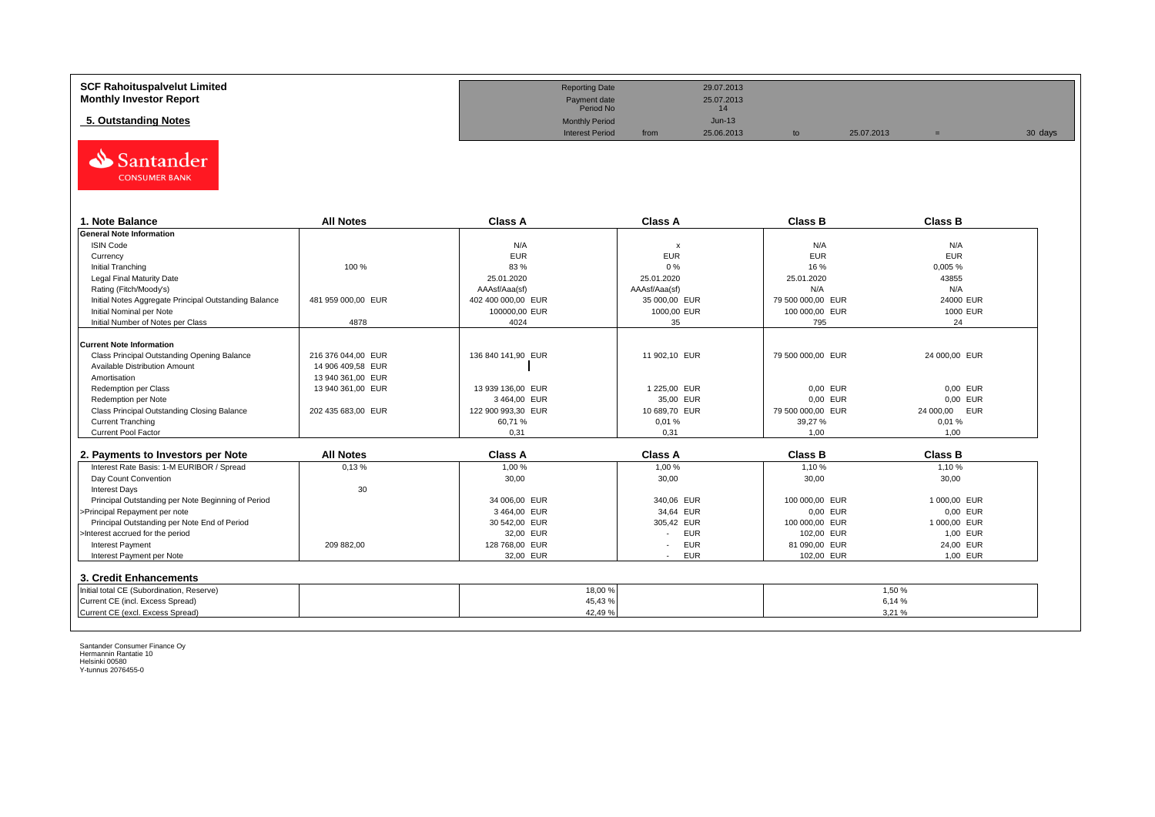| <b>SCF Rahoituspalvelut Limited</b> | <b>Reporting Date</b>     |      | 29.07.2013 |            |         |
|-------------------------------------|---------------------------|------|------------|------------|---------|
| <b>Monthly Investor Report</b>      | Payment date<br>Period No |      | 25.07.2013 |            |         |
| 5. Outstanding Notes                | <b>Monthly Period</b>     |      | $Jun-13$   |            |         |
|                                     | <b>Interest Period</b>    | from | 25.06.2013 | 25.07.2013 | 30 days |



| . Note Balance                                        | <b>All Notes</b>   | <b>Class A</b>     | <b>Class A</b>            | <b>Class B</b>    | <b>Class B</b> |
|-------------------------------------------------------|--------------------|--------------------|---------------------------|-------------------|----------------|
| <b>General Note Information</b>                       |                    |                    |                           |                   |                |
| <b>ISIN Code</b>                                      |                    | N/A                | $\boldsymbol{\mathsf{x}}$ | N/A               | N/A            |
| Currency                                              |                    | <b>EUR</b>         | <b>EUR</b>                | <b>EUR</b>        | <b>EUR</b>     |
| Initial Tranching                                     | 100 %              | 83 %               | 0%                        | 16 %              | 0,005%         |
| Legal Final Maturity Date                             |                    | 25.01.2020         | 25.01.2020                | 25.01.2020        | 43855          |
| Rating (Fitch/Moody's)                                |                    | AAAsf/Aaa(sf)      | AAAsf/Aaa(sf)             | N/A               | N/A            |
| Initial Notes Aggregate Principal Outstanding Balance | 481 959 000.00 EUR | 402 400 000.00 EUR | 35 000.00 EUR             | 79 500 000.00 EUR | 24000 EUR      |
| Initial Nominal per Note                              |                    | 100000,00 EUR      | 1000,00 EUR               | 100 000,00 EUR    | 1000 EUR       |
| Initial Number of Notes per Class                     | 4878               | 4024               | 35                        | 795               | 24             |
|                                                       |                    |                    |                           |                   |                |
| <b>Current Note Information</b>                       |                    |                    |                           |                   |                |
| Class Principal Outstanding Opening Balance           | 216 376 044,00 EUR | 136 840 141.90 EUR | 11 902,10 EUR             | 79 500 000,00 EUR | 24 000,00 EUR  |
| Available Distribution Amount                         | 14 906 409.58 EUR  |                    |                           |                   |                |
| Amortisation                                          | 13 940 361.00 EUR  |                    |                           |                   |                |
| Redemption per Class                                  | 13 940 361,00 EUR  | 13 939 136,00 EUR  | 1 225,00 EUR              | 0,00 EUR          | 0.00 EUR       |
| Redemption per Note                                   |                    | 3464,00 EUR        | 35,00 EUR                 | 0,00 EUR          | 0.00 EUR       |
| Class Principal Outstanding Closing Balance           | 202 435 683,00 EUR | 122 900 993,30 EUR | 10 689,70 EUR             | 79 500 000,00 EUR | 24 000,00 EUR  |
| <b>Current Tranching</b>                              |                    | 60.71 %            | 0,01%                     | 39.27 %           | 0.01%          |
| <b>Current Pool Factor</b>                            |                    | 0.31               | 0.31                      | 1.00              | 1.00           |

| 2. Payments to Investors per Note                  | <b>All Notes</b> | <b>Class A</b> | <b>Class A</b>                         | <b>Class B</b> | <b>Class B</b> |
|----------------------------------------------------|------------------|----------------|----------------------------------------|----------------|----------------|
| Interest Rate Basis: 1-M EURIBOR / Spread          | 0,13%            | 1.00 %         | 1.00 %                                 | 1.10%          | 1,10 %         |
| Day Count Convention                               |                  | 30,00          | 30,00                                  | 30,00          | 30,00          |
| Interest Davs                                      | 30               |                |                                        |                |                |
| Principal Outstanding per Note Beginning of Period |                  | 34 006,00 EUR  | 340.06 EUR                             | 100 000,00 EUR | 1 000.00 EUR   |
| >Principal Repayment per note                      |                  | 3464.00 EUR    | 34.64 EUR                              | 0.00 EUR       | 0.00 EUR       |
| Principal Outstanding per Note End of Period       |                  | 30 542.00 EUR  | 305.42 EUR                             | 100 000,00 EUR | 1 000.00 EUR   |
| >Interest accrued for the period                   |                  | 32.00 EUR      | <b>EUR</b>                             | 102.00 EUR     | 1.00 EUR       |
| <b>Interest Payment</b>                            | 209 882.00       | 128 768,00 EUR | <b>EUR</b><br>$\overline{\phantom{a}}$ | 81 090.00 EUR  | 24.00 EUR      |
| Interest Payment per Note                          |                  | 32,00 EUR      | <b>EUR</b>                             | 102.00 EUR     | 1,00 EUR       |
| 3. Credit Enhancements                             |                  |                |                                        |                |                |
| Initial total CE (Subordination, Reserve)          |                  |                | 18,00 %                                |                | 1,50%          |
| Current CE (incl. Excess Spread)                   |                  |                | 45,43%                                 |                | 6.14 %         |
| Current CE (excl. Excess Spread)                   |                  |                | 42,49%                                 |                | 3,21%          |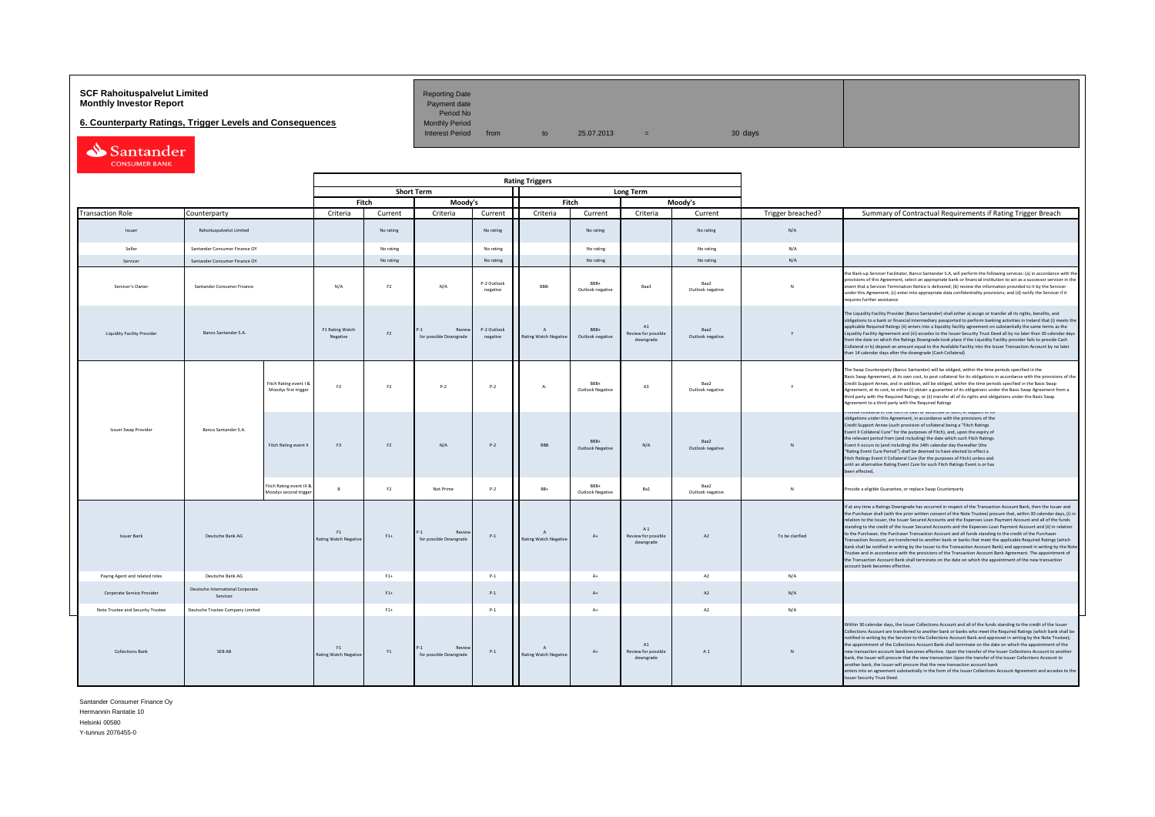# **SCF Rahoituspalvelut Limited Accord Reporting Date**<br>**Monthly Investor Report** Payment date **Monthly Investor Report**

**6. Counterparty Ratings, Trigger Levels and Consequences**<br>Monthly Period Monthly Period from

Period No<br>Monthly Period

 $10 \t 25.07.2013 = 30 \text{ days}$ 

| Santander            |  |
|----------------------|--|
| <b>CONSUMER BANK</b> |  |

|                             |                                   |                                              |                                                   |                                    |                |                                         |                         | <b>Rating Triggers</b>                         |                                 |                                        |                          |                   |                                                                                                                                                                                                                                                                                                                                                                                                                                                                                                                                                                                                                                                                                                                                                                                                                                                                                                                                                                                                                                                                                                     |
|-----------------------------|-----------------------------------|----------------------------------------------|---------------------------------------------------|------------------------------------|----------------|-----------------------------------------|-------------------------|------------------------------------------------|---------------------------------|----------------------------------------|--------------------------|-------------------|-----------------------------------------------------------------------------------------------------------------------------------------------------------------------------------------------------------------------------------------------------------------------------------------------------------------------------------------------------------------------------------------------------------------------------------------------------------------------------------------------------------------------------------------------------------------------------------------------------------------------------------------------------------------------------------------------------------------------------------------------------------------------------------------------------------------------------------------------------------------------------------------------------------------------------------------------------------------------------------------------------------------------------------------------------------------------------------------------------|
|                             |                                   |                                              |                                                   | <b>Short Term</b>                  |                |                                         |                         |                                                |                                 | Long Term                              |                          |                   |                                                                                                                                                                                                                                                                                                                                                                                                                                                                                                                                                                                                                                                                                                                                                                                                                                                                                                                                                                                                                                                                                                     |
|                             |                                   |                                              |                                                   |                                    | Fitch          | Moody's                                 |                         | Fitch                                          |                                 |                                        | Moodv's                  |                   |                                                                                                                                                                                                                                                                                                                                                                                                                                                                                                                                                                                                                                                                                                                                                                                                                                                                                                                                                                                                                                                                                                     |
|                             | <b>Transaction Role</b>           | Counterparty                                 |                                                   | Criteria                           | Current        | Criteria                                | Current                 | Criteria                                       | Current                         | Criteria                               | Current                  | Trigger breached? | Summary of Contractual Requirements if Rating Trigger Breach                                                                                                                                                                                                                                                                                                                                                                                                                                                                                                                                                                                                                                                                                                                                                                                                                                                                                                                                                                                                                                        |
|                             | Issuer                            | Rahoituspalvelut Limited                     |                                                   |                                    | No rating      |                                         | No rating               |                                                | No rating                       |                                        | No rating                | N/A               |                                                                                                                                                                                                                                                                                                                                                                                                                                                                                                                                                                                                                                                                                                                                                                                                                                                                                                                                                                                                                                                                                                     |
|                             | Seller                            | Santander Consumer Finance OY                |                                                   |                                    | No rating      |                                         | No rating               |                                                | No rating                       |                                        | No rating                | N/A               |                                                                                                                                                                                                                                                                                                                                                                                                                                                                                                                                                                                                                                                                                                                                                                                                                                                                                                                                                                                                                                                                                                     |
|                             | Servicer                          | Santander Consumer Finance OY                |                                                   |                                    | No rating      |                                         | No rating               |                                                | No rating                       |                                        | No rating                | N/A               |                                                                                                                                                                                                                                                                                                                                                                                                                                                                                                                                                                                                                                                                                                                                                                                                                                                                                                                                                                                                                                                                                                     |
|                             | Servicer's Owner                  | Santander Consumer Finance                   |                                                   | N/A                                | F <sub>2</sub> | N/A                                     | P-2 Outlook<br>negative | BBB-                                           | RRR+<br>Outlook negative        | Ваа3                                   | Baa2<br>Outlook negative | $\overline{N}$    | the Back-up Servicer Facilitator, Banco Santander S.A, will perform the following services: (a) in accordance with th<br>provisions of this Agreement, select an appropriate bank or financial institution to act as a successor servicer in the<br>event that a Servicer Termination Notice is delivered; (b) review the information provided to it by the Servicer<br>under this Agreement; (c) enter into appropriate data confidentiality provisions; and (d) notify the Servicer if it<br>requires further assistance                                                                                                                                                                                                                                                                                                                                                                                                                                                                                                                                                                          |
|                             | Liquidity Facility Provider       | <b>Banco Santander S.A.</b>                  |                                                   | F1 Rating Watch<br>Negative        | F <sub>2</sub> | Revie<br>for possible Downgrade         | P-2 Outlook<br>negative | $\Lambda$<br>Rating Watch Negative             | <b>BRR+</b><br>Outlook negative | A1<br>Review for possible<br>downgrade | Raa2<br>Outlook negative | Y                 | The Liquidity Facility Provider (Banco Santander) shall either a) assign or transfer all its rights, benefits, and<br>obligations to a bank or financial intermediary passported to perform banking activities in Ireland that (i) meets the<br>applicable Required Ratings (ii) enters into a liquidity facility agreement on substantially the same terms as the<br>Liquidity Facility Agreement and (iii) accedes to the Issuer Security Trust Deed all by no later than 30 calendar days<br>from the date on which the Ratings Downgrade took place if the Liquidity Facility provider fails to provide Cash<br>Collateral or b) deposit an amount equal to the Available Facility into the Issuer Transaction Account by no later<br>han 14 calendar days after the downgrade (Cash Collateral)                                                                                                                                                                                                                                                                                                |
|                             |                                   |                                              | Fitch Rating event I &<br>Moodys first trigger    | F <sub>2</sub>                     | F <sub>2</sub> | $P-2$                                   | $P-2$                   | A-                                             | RRR+<br>Outlook Negative        | A3                                     | Baa2<br>Outlook negative | Y                 | The Swap Counterparty (Banco Santander) will be obliged, within the time periods specified in the<br>Basis Swap Agreement, at its own cost, to post collateral for its obligations in accordance with the provisions of the<br>Credit Support Annex, and in addition, will be obliged, within the time periods specified in the Basis Swap<br>Agreement, at its cost, to either (i) obtain a guarantee of its obligations under the Basis Swap Agreement from a<br>third party with the Required Ratings; or (ii) transfer all of its rights and obligations under the Basis Swap<br>greement to a third party with the Required Ratings                                                                                                                                                                                                                                                                                                                                                                                                                                                            |
| <b>Issuer Swap Provider</b> |                                   | Banco Santander S.A.                         | Fitch Rating event II                             | F3                                 | F <sub>2</sub> | N/A                                     | $P-2$                   | <b>BBB</b>                                     | BBB+<br>Outlook Negative        | N/A                                    | Raa2<br>Outlook negative | N                 | rovide considerar in the form or cash or securities or pour, in support or its<br>obligations under this Agreement, in accordance with the provisions of the<br>Credit Support Annex (such provision of collateral being a "Fitch Ratings<br>Event II Collateral Cure" for the purposes of Fitch), and, upon the expiry of<br>the relevant period from (and including) the date which such Fitch Ratings<br>Event II occurs to (and including) the 14th calendar day thereafter (the<br>"Rating Event Cure Period") shall be deemed to have elected to effect a<br>Fitch Ratings Event II Collateral Cure (for the purposes of Fitch) unless and<br>ntil an alternative Rating Event Cure for such Fitch Ratings Event is or has<br>een effected,                                                                                                                                                                                                                                                                                                                                                   |
|                             |                                   |                                              | Fitch Rating event III &<br>Aoodys second trigger |                                    | F <sub>2</sub> | Not Prime                               | $P-2$                   | BB+                                            | BBB+<br><b>Outlook Negative</b> | Ba1                                    | Baa2<br>Outlook negative | N                 | Provide a eligible Guarantee, or replace Swap Counterparty                                                                                                                                                                                                                                                                                                                                                                                                                                                                                                                                                                                                                                                                                                                                                                                                                                                                                                                                                                                                                                          |
|                             | <b>Issuer Bank</b>                | Deutsche Bank AG                             |                                                   | F1<br><b>Rating Watch Negative</b> | $F1+$          | <b>Revier</b><br>for possible Downgrade | $P-1$                   | $\overline{A}$<br><b>Rating Watch Negative</b> | $A+$                            | A1<br>Review for possible<br>downgrade | A2                       | To be clarified   | If at any time a Ratings Downgrade has occurred in respect of the Transaction Account Bank, then the Issuer and<br>the Purchaser shall (with the prior written consent of the Note Trustee) procure that, within 30 calendar days, (i) in<br>relation to the Issuer, the Issuer Secured Accounts and the Expenses Loan Payment Account and all of the funds<br>standing to the credit of the Issuer Secured Accounts and the Expenses Loan Payment Account and (ii) in relation<br>to the Purchaser, the Purchaser Transaction Account and all funds standing to the credit of the Purchaser<br>Transaction Account, are transferred to another bank or banks that meet the applicable Required Ratings (which<br>bank shall be notified in writing by the Issuer to the Transaction Account Bank) and approved in writing by the Note<br>rustee and in accordance with the provisions of the Transaction Account Bank Agreement. The appointment of<br>the Transaction Account Bank shall terminate on the date on which the appointment of the new transaction<br>account bank becomes effective. |
|                             | Paying Agent and related roles    | Deutsche Bank AG                             |                                                   |                                    | $F1+$          |                                         | $P-1$                   |                                                | $A+$                            |                                        | A2                       | N/A               |                                                                                                                                                                                                                                                                                                                                                                                                                                                                                                                                                                                                                                                                                                                                                                                                                                                                                                                                                                                                                                                                                                     |
|                             | Corporate Service Provider        | Deutsche International Corporate<br>Services |                                                   |                                    | $F1+$          |                                         | $P-1$                   |                                                | $A +$                           |                                        | A2                       | N/A               |                                                                                                                                                                                                                                                                                                                                                                                                                                                                                                                                                                                                                                                                                                                                                                                                                                                                                                                                                                                                                                                                                                     |
|                             | Note Trustee and Security Trustee | Deutsche Trustee Company Limited             |                                                   |                                    | $F1+$          |                                         | $P-1$                   |                                                | $A+$                            |                                        | A2                       | N/A               |                                                                                                                                                                                                                                                                                                                                                                                                                                                                                                                                                                                                                                                                                                                                                                                                                                                                                                                                                                                                                                                                                                     |
|                             | <b>Collections Bank</b>           | SEB AB                                       |                                                   | F1<br>Rating Watch Negative        | F1             | Revie<br>for possible Downgrade         | $P-1$                   | $\mathbf{A}$<br>Rating Watch Negative          | $A+$                            | A1<br>Review for possible<br>downgrade | A1                       | N                 | Within 30 calendar days, the Issuer Collections Account and all of the funds standing to the credit of the Issuer<br>Collections Account are transferred to another bank or banks who meet the Required Ratings (which bank shall be<br>notified in writing by the Servicer to the Collections Account Bank and approved in writing by the Note Trustee);<br>he appointment of the Collections Account Bank shall terminate on the date on which the appointment of the<br>ew transaction account bank becomes effective. Upon the transfer of the Issuer Collections Account to another<br>bank, the Issuer will procure that the new transaction Upon the transfer of the Issuer Collections Acoount to<br>inother bank, the Issuer will procure that the new transaction account bank<br>enters into an agreement substantially in the form of the Issuer Collections Account Agreement and accedes to the<br>Issuer Security Trust Deed.                                                                                                                                                        |

Santander Consumer Finance Oy

Hermannin Rantatie 10 Helsinki 00580

Y-tunnus 2076455-0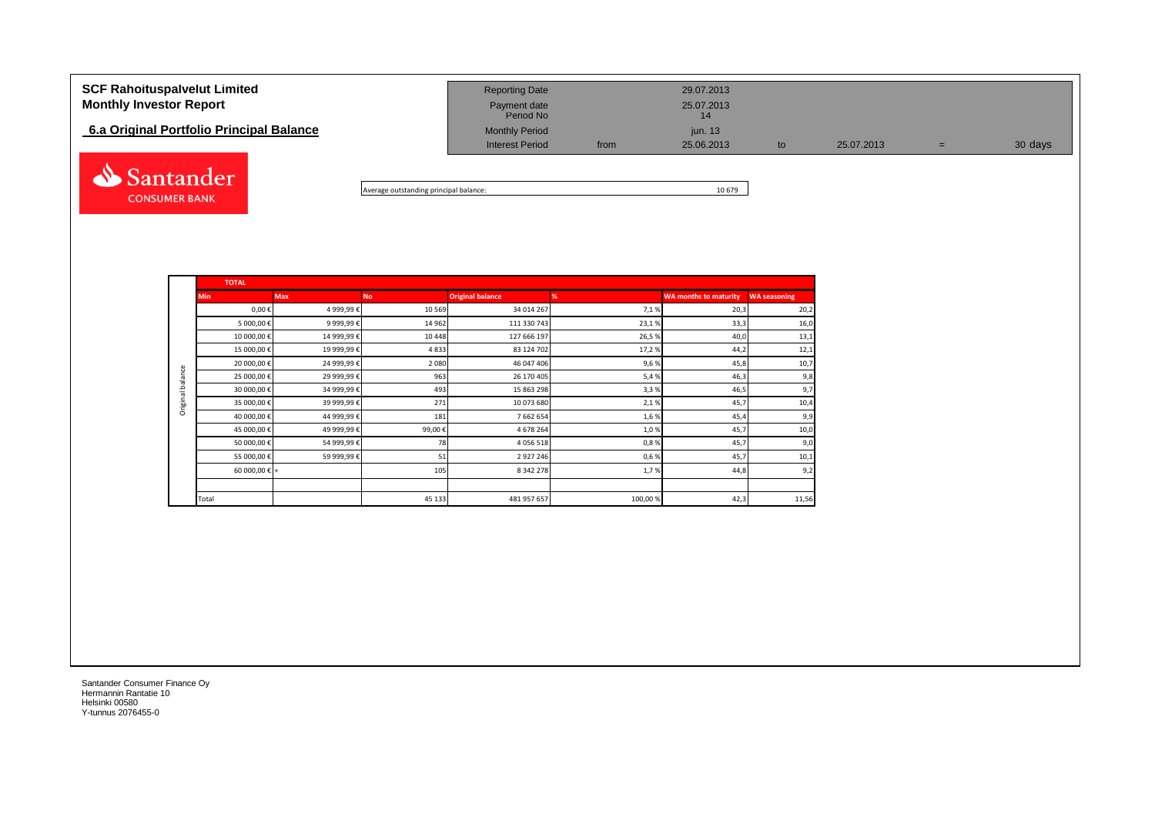| <b>SCF Rahoituspalvelut Limited</b><br><b>Monthly Investor Report</b> | <b>Reporting Date</b><br>Payment date<br>Period No |      | 29.07.2013<br>25.07.2013<br>14 |    |            |   |         |
|-----------------------------------------------------------------------|----------------------------------------------------|------|--------------------------------|----|------------|---|---------|
| 6.a Original Portfolio Principal Balance                              | <b>Monthly Period</b><br><b>Interest Period</b>    | from | jun. 13<br>25.06.2013          | to | 25.07.2013 | = | 30 days |
| Santander (                                                           |                                                    |      |                                |    |            |   |         |

Average outstanding principal balance: 10 679

|                  | <b>TOTAL</b>           |             |           |                         |         |                              |                     |
|------------------|------------------------|-------------|-----------|-------------------------|---------|------------------------------|---------------------|
|                  | <b>Min</b>             | <b>Max</b>  | <b>No</b> | <b>Original balance</b> | %       | <b>WA months to maturity</b> | <b>WA seasoning</b> |
|                  | $0,00 \in$             | 4 999,99€   | 10 569    | 34 014 267              | 7,1%    | 20,3                         | 20,2                |
|                  | 5 000,00 €             | 9 999,99€   | 14 962    | 111 330 743             | 23,1%   | 33,3                         | 16,0                |
|                  | 10 000,00 €            | 14 999,99€  | 10 4 48   | 127 666 197             | 26,5%   | 40,0                         | 13,1                |
|                  | 15 000,00 €            | 19 999,99€  | 4833      | 83 124 702              | 17,2%   | 44,2                         | 12,1                |
|                  | 20 000,00 €            | 24 999,99 € | 2 0 8 0   | 46 047 406              | 9,6%    | 45,8                         | 10,7                |
| Original balance | 25 000,00€             | 29 999,99 € | 963       | 26 170 405              | 5,4%    | 46,3                         | 9,8                 |
|                  | 30 000,00 €            | 34 999,99€  | 493       | 15 863 298              | 3,3%    | 46,5                         | 9,7                 |
|                  | 35 000,00 €            | 39 999,99 € | 271       | 10 073 680              | 2,1%    | 45,7                         | 10,4                |
|                  | 40 000,00€             | 44 999,99€  | 181       | 7 662 654               | 1,6%    | 45,4                         | 9,9                 |
|                  | 45 000,00 €            | 49 999,99€  | 99,00€    | 4 678 264               | 1,0%    | 45,7                         | 10,0                |
|                  | 50 000,00 €            | 54 999,99€  | 78        | 4 0 5 6 5 1 8           | 0,8%    | 45,7                         | 9,0                 |
|                  | 55 000,00 €            | 59 999,99€  | 51        | 2927246                 | 0,6%    | 45,7                         | 10,1                |
|                  | 60 000,00 $\epsilon$ + |             | 105       | 8 3 4 2 2 7 8           | 1,7%    | 44,8                         | 9,2                 |
|                  |                        |             |           |                         |         |                              |                     |
|                  | Total                  |             | 45 133    | 481 957 657             | 100,00% | 42,3                         | 11,56               |

Santander Consumer Finance Oy Hermannin Rantatie 10 Helsinki 00580 Y-tunnus 2076455-0

**CONSUMER BANK**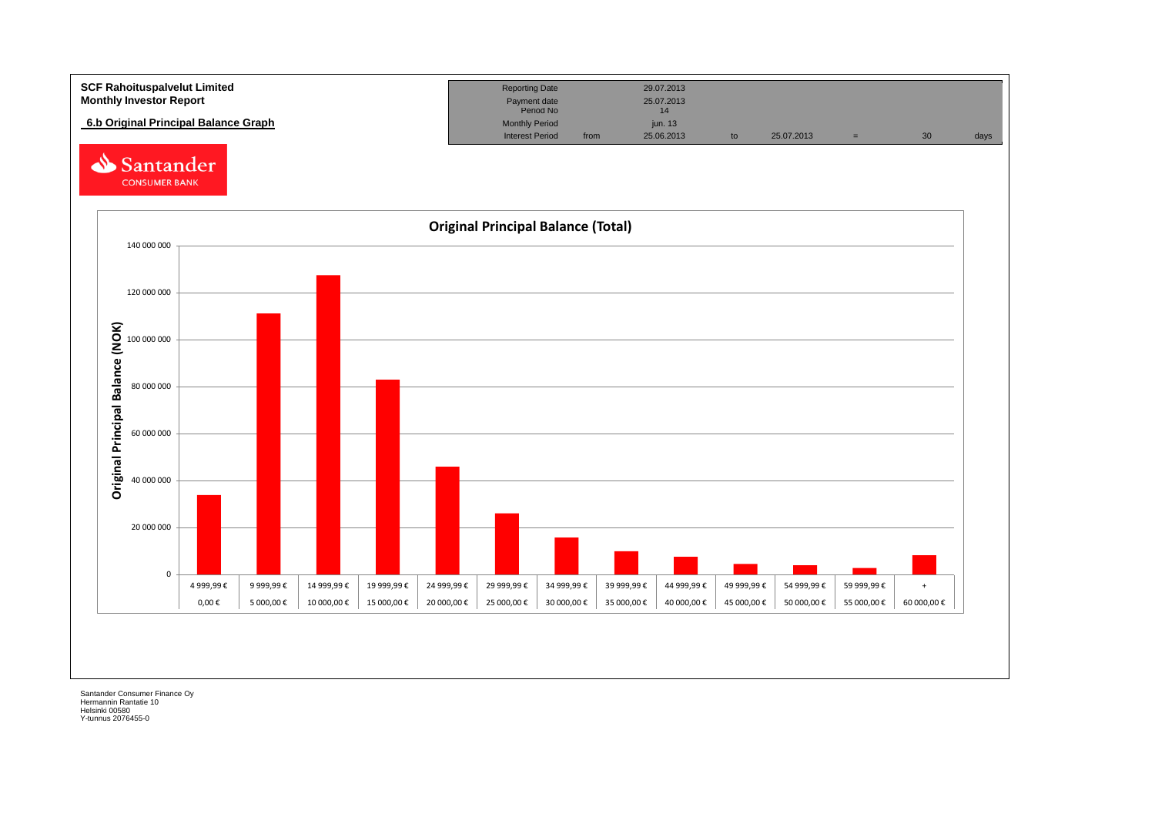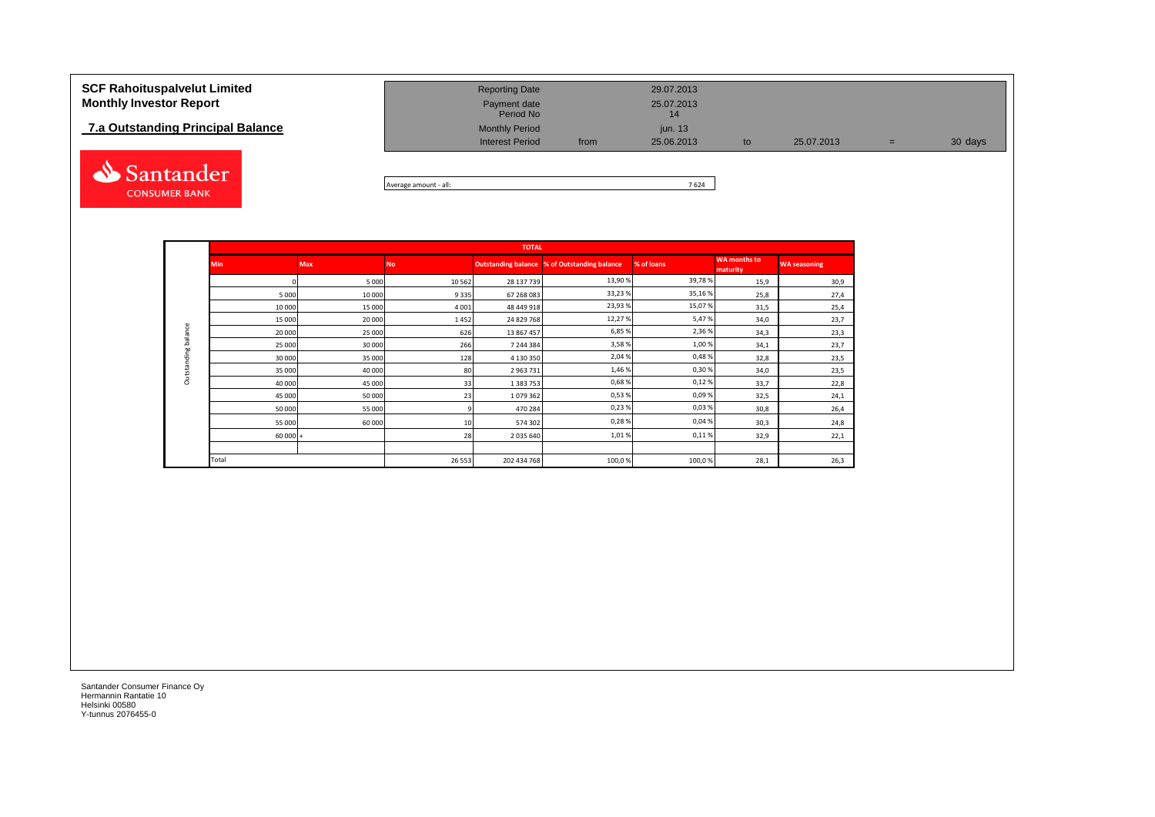## **7.a Outstanding Principal Balance**



| Period No                                                                                                          |                                   |         |
|--------------------------------------------------------------------------------------------------------------------|-----------------------------------|---------|
| <b>Monthly Period</b><br><i>iun.</i> 13<br><b>Interest Period</b><br>25.06.2013<br>25.07.2013<br>from<br>to<br>$=$ | 7.a Outstanding Principal Balance | 30 days |

Average amount - all: 7 624

|                     |            |            |           | <b>TOTAL</b>  |                                                     |            |                                 |                     |
|---------------------|------------|------------|-----------|---------------|-----------------------------------------------------|------------|---------------------------------|---------------------|
|                     | <b>Min</b> | <b>Max</b> | <b>No</b> |               | <b>Outstanding balance % of Outstanding balance</b> | % of loans | <b>WA</b> months to<br>maturity | <b>WA seasoning</b> |
|                     |            | 5 0 0 0    | 10562     | 28 137 739    | 13,90%                                              | 39,78%     | 15,9                            | 30,9                |
|                     | 5 0 0 0    | 10 000     | 9335      | 67 268 083    | 33,23%                                              | 35,16%     | 25,8                            | 27,4                |
|                     | 10 000     | 15 000     | 4 0 0 1   | 48 449 918    | 23,93%                                              | 15,07%     | 31,5                            | 25,4                |
|                     | 15 000     | 20 000     | 1452      | 24 829 768    | 12,27%                                              | 5,47%      | 34,0                            | 23,7                |
|                     | 20 000     | 25 000     | 626       | 13 867 457    | 6,85%                                               | 2,36%      | 34,3                            | 23,3                |
| Outstanding balance | 25 000     | 30 000     | 266       | 7 244 384     | 3,58%                                               | 1,00%      | 34,1                            | 23,7                |
|                     | 30 000     | 35 000     | 128       | 4 130 350     | 2,04%                                               | 0,48%      | 32,8                            | 23,5                |
|                     | 35 000     | 40 000     | 80        | 2 963 731     | 1,46%                                               | 0,30%      | 34,0                            | 23,5                |
|                     | 40 000     | 45 000     | 33        | 1 3 8 3 7 5 3 | 0,68%                                               | 0,12%      | 33,7                            | 22,8                |
|                     | 45 000     | 50 000     | 23        | 1079362       | 0,53%                                               | 0,09%      | 32,5                            | 24,1                |
|                     | 50 000     | 55 000     | q         | 470 284       | 0,23%                                               | 0,03%      | 30,8                            | 26,4                |
|                     | 55 000     | 60 000     | 10        | 574 302       | 0,28%                                               | 0,04%      | 30,3                            | 24,8                |
|                     | $60000 +$  |            | 28        | 2 035 640     | 1,01%                                               | 0,11%      | 32,9                            | 22,1                |
|                     |            |            |           |               |                                                     |            |                                 |                     |
|                     | Total      |            | 26 5 53   | 202 434 768   | 100,0%                                              | 100,0%     | 28,1                            | 26,3                |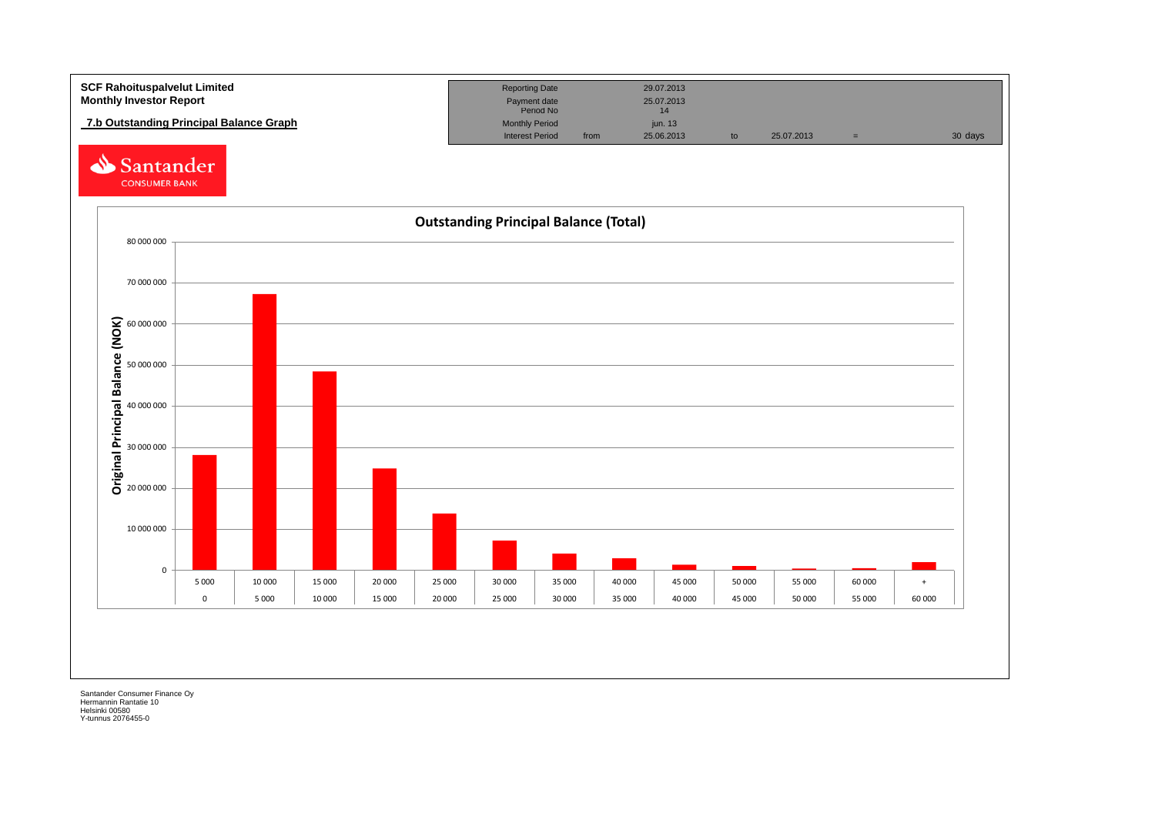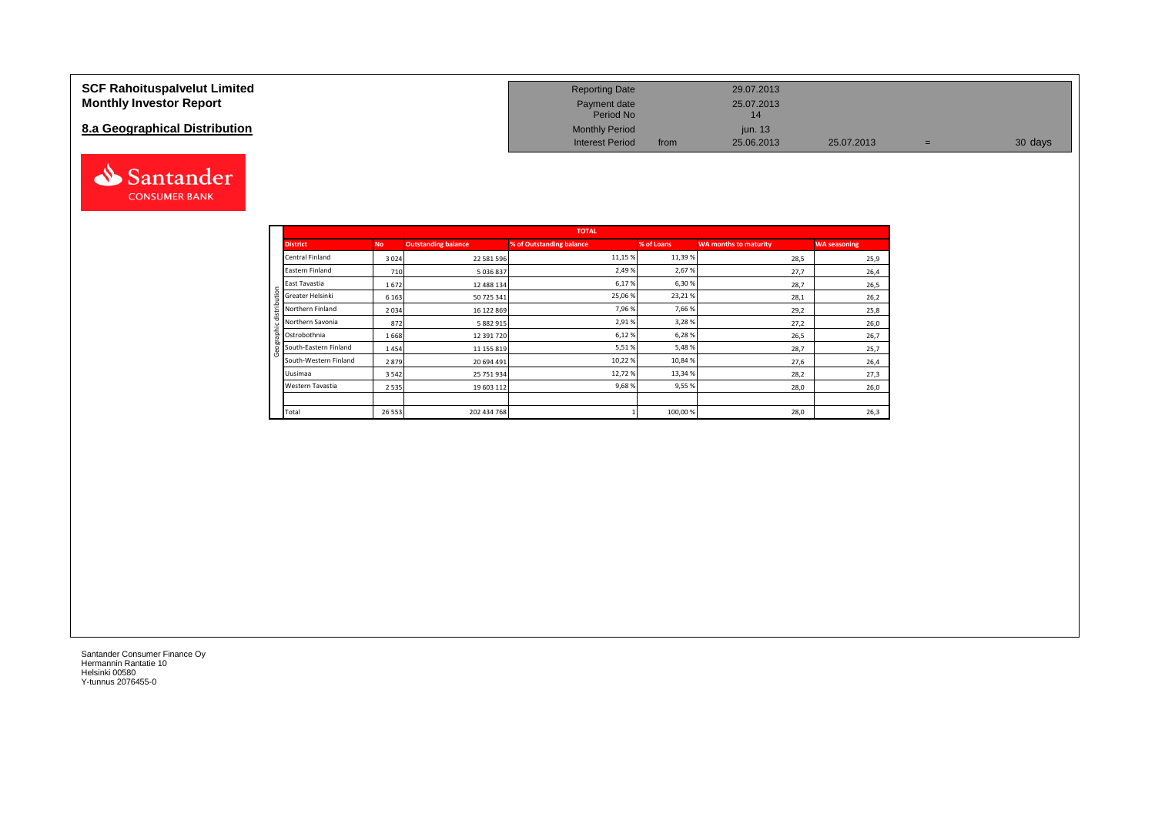### **SCF Rahoituspalvelut Limited Monthly Investor Report**

## **8.a Geographical Distribution**



| <b>Reporting Date</b>     |      | 29.07.2013       |            |   |         |
|---------------------------|------|------------------|------------|---|---------|
| Payment date<br>Period No |      | 25.07.2013<br>14 |            |   |         |
| <b>Monthly Period</b>     |      | jun. $13$        |            |   |         |
| <b>Interest Period</b>    | from | 25.06.2013       | 25.07.2013 | = | 30 days |

|                       |           |                            | <b>TOTAL</b>             |            |                              |                     |
|-----------------------|-----------|----------------------------|--------------------------|------------|------------------------------|---------------------|
| <b>District</b>       | <b>No</b> | <b>Outstanding balance</b> | % of Outstanding balance | % of Loans | <b>WA months to maturity</b> | <b>WA seasoning</b> |
| Central Finland       | 3024      | 22 581 596                 | 11,15 %                  | 11,39%     | 28,5                         | 25,9                |
| Eastern Finland       | 710       | 5 036 837                  | 2,49%                    | 2,67%      | 27,7                         | 26,4                |
| East Tavastia         | 1672      | 12 488 134                 | 6,17%                    | 6,30%      | 28,7                         | 26,5                |
| Greater Helsinki      | 6 1 6 3   | 50 725 341                 | 25,06 %                  | 23,21%     | 28,1                         | 26,2                |
| Northern Finland      | 2034      | 16 122 869                 | 7,96 %                   | 7,66%      | 29,2                         | 25,8                |
| Northern Savonia      | 872       | 5 882 915                  | 2,91%                    | 3,28%      | 27,2                         | 26,0                |
| Ostrobothnia          | 1668      | 12 391 720                 | 6,12%                    | 6,28%      | 26,5                         | 26,7                |
| South-Eastern Finland | 1454      | 11 155 819                 | 5,51%                    | 5,48%      | 28,7                         | 25,7                |
| South-Western Finland | 2879      | 20 694 491                 | 10,22%                   | 10,84 %    | 27,6                         | 26,4                |
| Uusimaa               | 3542      | 25 751 934                 | 12,72%                   | 13,34 %    | 28,2                         | 27,3                |
| Western Tavastia      | 2 5 3 5   | 19 603 112                 | 9,68%                    | 9,55%      | 28,0                         | 26,0                |
|                       |           |                            |                          |            |                              |                     |
| Total                 | 26 5 53   | 202 434 768                |                          | 100,00%    | 28,0                         | 26,3                |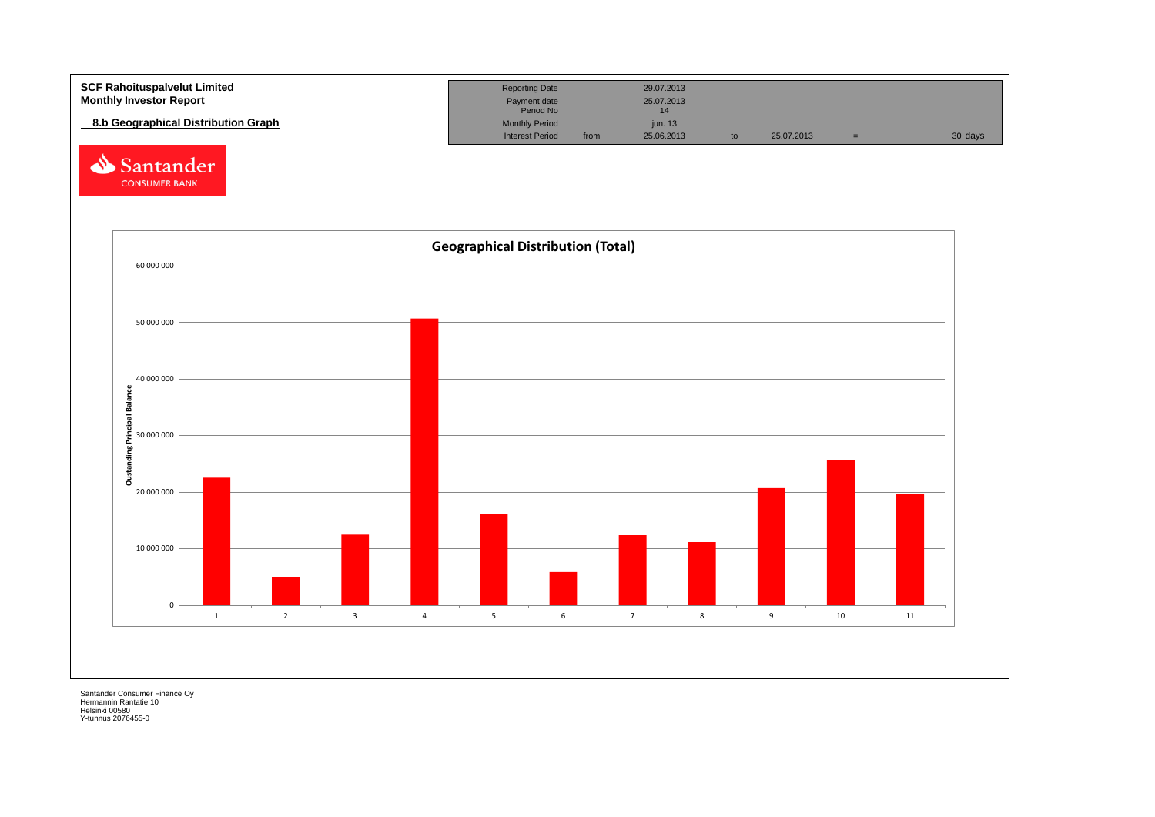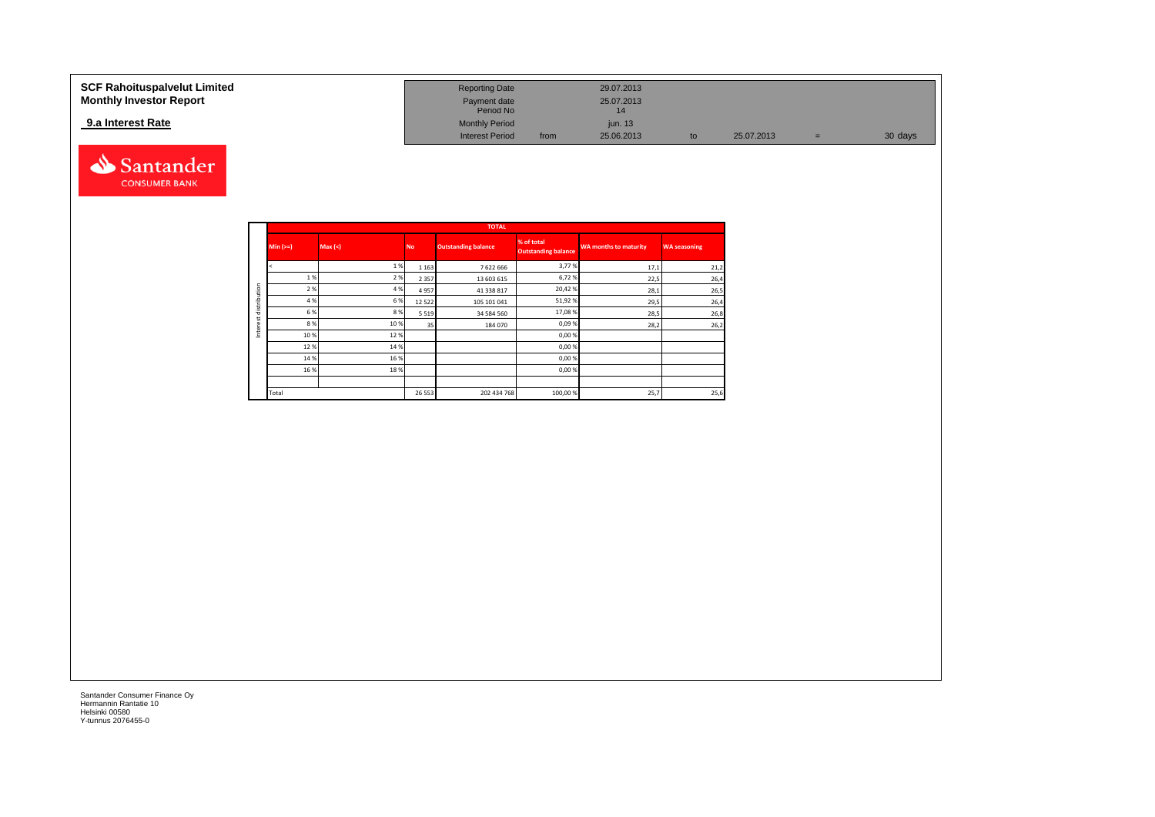#### **SCF Rahoituspalvelut Limited Reporting Date 29.07.2013 Reporting Date 29.07.2013 Monthly Investor Report Payment date** 25.07.2013 Payment date 25.07.2013<br>Period No 14 **9.a Interest Rate 12.6 and 13.6 and 13.6 and 13.6 and 13.6 and 13.6 and 13.6 and 13.6 and 13.6 and 13.6 and 13.6 and 13.6 and 13.6 and 13.6 and 13.6 and 13.6 and 13.6 and 13.6 and 13.6 and 13.6 and 13.6 and 13.6 and 13.** Interest Period from 25.06.2013 to 25.07.2013 = 30 days



|              |            |       |           | <b>TOTAL</b>               |                                          |                              |                     |
|--------------|------------|-------|-----------|----------------------------|------------------------------------------|------------------------------|---------------------|
|              | $Min (>=)$ | Max < | <b>No</b> | <b>Outstanding balance</b> | % of total<br><b>Outstanding balance</b> | <b>WA months to maturity</b> | <b>WA seasoning</b> |
|              |            | 1 %   | 1 1 6 3   | 7622666                    | 3,77%                                    | 17,1                         | 21,2                |
|              | 1%         | 2%    | 2 3 5 7   | 13 603 615                 | 6,72%                                    | 22,5                         | 26,4                |
|              | 2%         | 4 %   | 4957      | 41 338 817                 | 20,42%                                   | 28,1                         | 26,5                |
| distribution | 4 %        | 6 %   | 12 5 22   | 105 101 041                | 51,92%                                   | 29,5                         | 26,4                |
|              | 6 %        | 8%    | 5 5 1 9   | 34 584 560                 | 17,08%                                   | 28,5                         | 26,8                |
| Interest     | 8%         | 10%   | 35        | 184 070                    | 0,09%                                    | 28,2                         | 26,2                |
|              | 10 %       | 12%   |           |                            | 0,00%                                    |                              |                     |
|              | 12%        | 14 %  |           |                            | 0,00%                                    |                              |                     |
|              | 14 %       | 16 %  |           |                            | 0,00%                                    |                              |                     |
|              | 16 %       | 18%   |           |                            | 0,00%                                    |                              |                     |
|              |            |       |           |                            |                                          |                              |                     |
|              | Total      |       | 26 5 53   | 202 434 768                | 100,00%                                  | 25,7                         | 25,6                |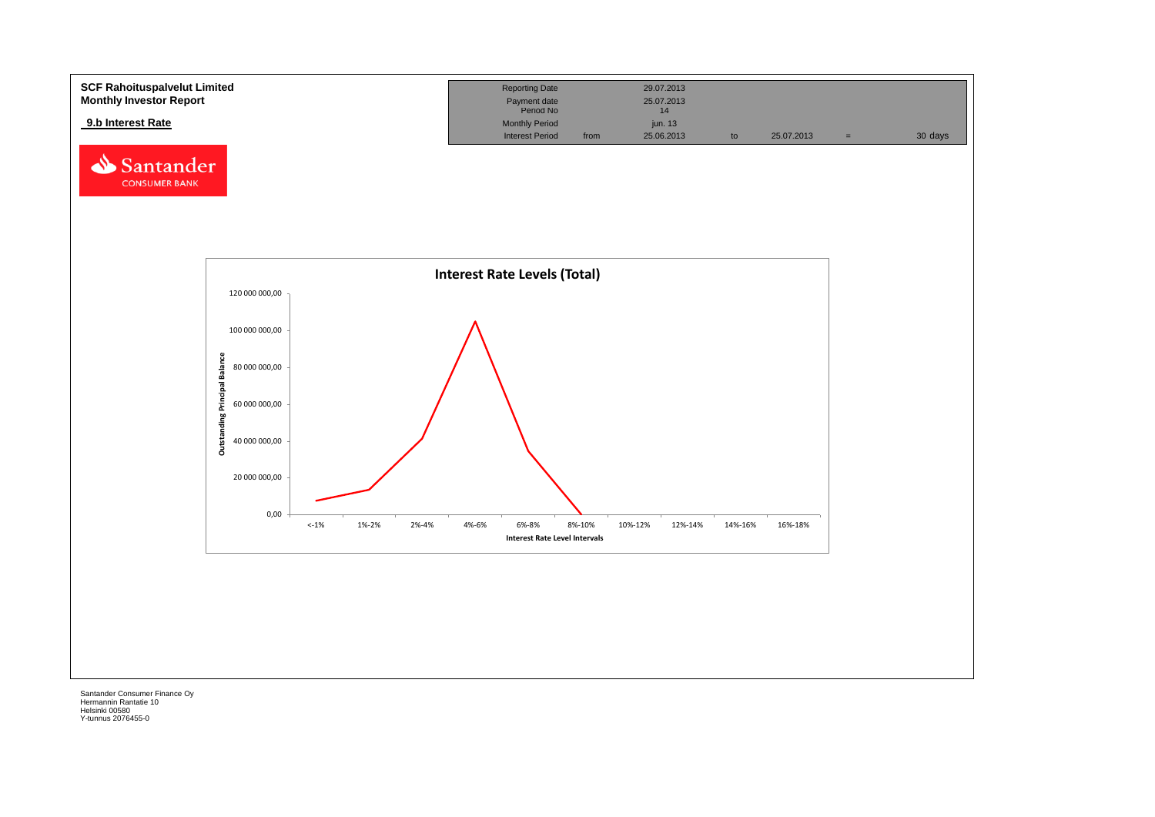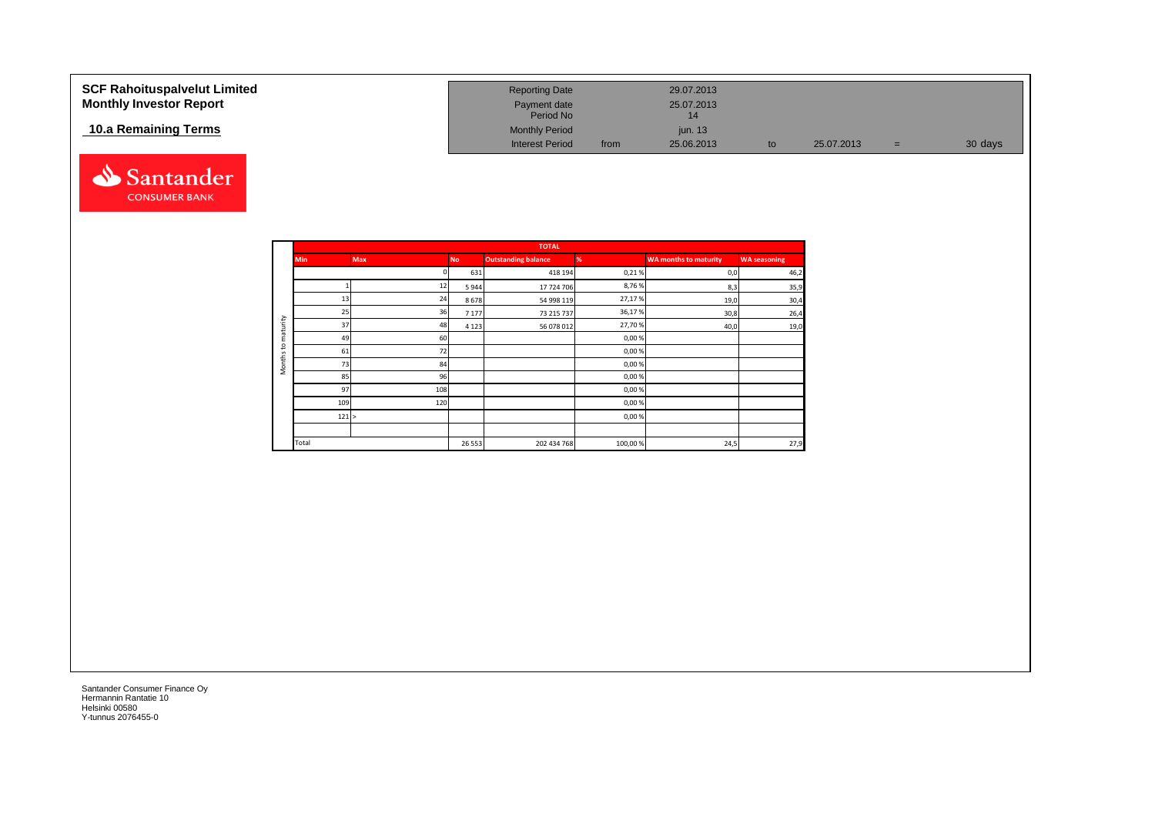| <b>SCF Rahoituspalvelut Limited</b><br><b>Monthly Investor Report</b> | <b>Reporting Date</b><br>Payment date<br>Period No |      | 29.07.2013<br>25.07.2013<br>14 |    |            |     |         |
|-----------------------------------------------------------------------|----------------------------------------------------|------|--------------------------------|----|------------|-----|---------|
| 10.a Remaining Terms                                                  | <b>Monthly Period</b><br><b>Interest Period</b>    | from | jun. 13<br>25.06.2013          | to | 25.07.2013 | $=$ | 30 days |



|                     |            |            |           | <b>TOTAL</b>               |         |                              |                     |
|---------------------|------------|------------|-----------|----------------------------|---------|------------------------------|---------------------|
|                     | <b>Min</b> | <b>Max</b> | <b>No</b> | <b>Outstanding balance</b> | %       | <b>WA months to maturity</b> | <b>WA seasoning</b> |
|                     |            |            | 631       | 418 194                    | 0,21%   | 0,0                          | 46,2                |
|                     |            | 12         | 5944      | 17 724 706                 | 8,76%   | 8,3                          | 35,9                |
|                     | 13         | 24         | 8678      | 54 998 119                 | 27,17%  | 19,0                         | 30,4                |
|                     | 25         | 36         | 7 1 7 7   | 73 215 737                 | 36,17%  | 30,8                         | 26,4                |
| maturity            | 37         | 48         | 4 1 2 3   | 56 078 012                 | 27,70%  | 40,0                         | 19,0                |
|                     | 49         | 60         |           |                            | 0,00%   |                              |                     |
| 5                   | 61         | 72         |           |                            | 0,00%   |                              |                     |
| Months <sup>-</sup> | 73         | 84         |           |                            | 0,00%   |                              |                     |
|                     | 85         | 96         |           |                            | 0,00%   |                              |                     |
|                     | 97         | 108        |           |                            | 0,00%   |                              |                     |
|                     | 109        | 120        |           |                            | 0,00%   |                              |                     |
|                     | 121 >      |            |           |                            | 0,00%   |                              |                     |
|                     |            |            |           |                            |         |                              |                     |
|                     | Total      |            | 26 5 53   | 202 434 768                | 100,00% | 24,5                         | 27,9                |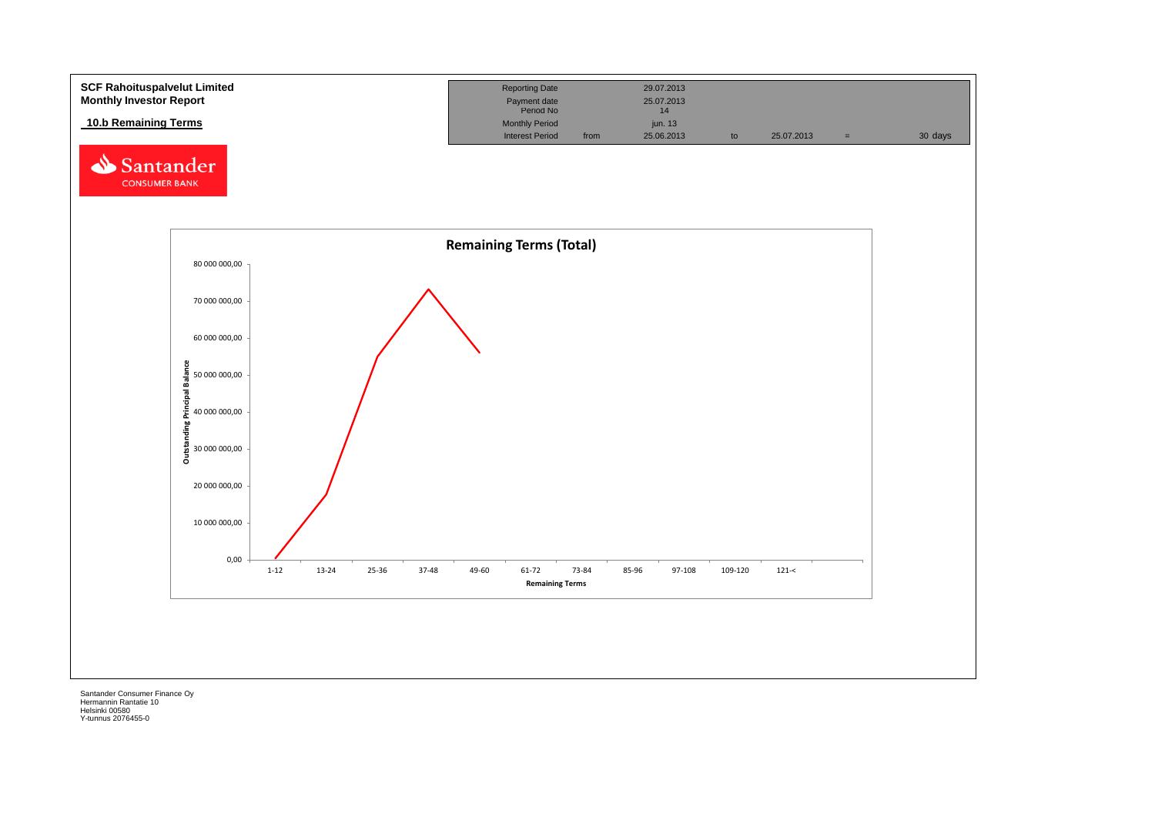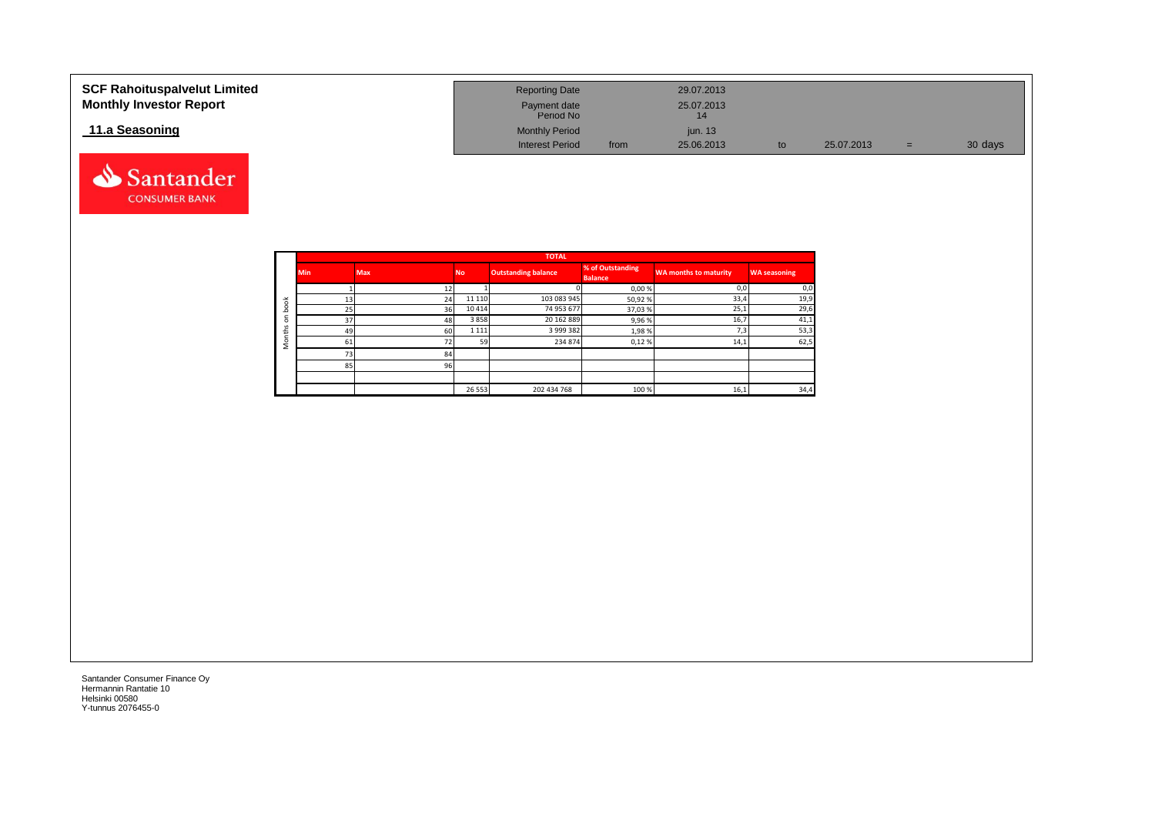| <b>SCF Rahoituspalvelut Limited</b><br><b>Monthly Investor Report</b> | <b>Reporting Date</b><br>Payment date<br>Period No |      | 29.07.2013<br>25.07.2013 |    |            |     |         |
|-----------------------------------------------------------------------|----------------------------------------------------|------|--------------------------|----|------------|-----|---------|
| 11.a Seasoning                                                        | <b>Monthly Period</b>                              |      | jun. $13$                |    |            |     |         |
|                                                                       | <b>Interest Period</b>                             | from | 25.06.2013               | to | 25.07.2013 | $=$ | 30 days |



|              |                 |            |           | <b>TOTAL</b>               |                                    |                              |                     |
|--------------|-----------------|------------|-----------|----------------------------|------------------------------------|------------------------------|---------------------|
|              | <b>Min</b>      | <b>Max</b> | <b>No</b> | <b>Outstanding balance</b> | % of Outstanding<br><b>Balance</b> | <b>WA months to maturity</b> | <b>WA seasoning</b> |
|              |                 |            |           |                            | 0,00%                              | 0,0                          | 0,0                 |
| ă            | 13 <sup>1</sup> | 24         | 11 110    | 103 083 945                | 50,92%                             | 33,4                         | 19,9                |
| c<br>≏       | 25              | 36         | 10414     | 74 953 677                 | 37,03%                             | 25,1                         | 29,6                |
| ⊂<br>$\circ$ | 37              | 48         | 3858      | 20 162 889                 | 9,96%                              | 16,7                         | 41,1                |
| s<br>£       | 49              | 60         | 1 1 1 1   | 3 999 382                  | 1,98%                              | 7,3                          | 53,3                |
| C<br>-       | 61              | 72         | 59        | 234 874                    | 0,12%                              | 14,1                         | 62,5                |
|              | 73              | 84         |           |                            |                                    |                              |                     |
|              | 85              | 96         |           |                            |                                    |                              |                     |
|              |                 |            |           |                            |                                    |                              |                     |
|              |                 |            | 26 5 53   | 202 434 768                | 100%                               | 16,1                         | 34,4                |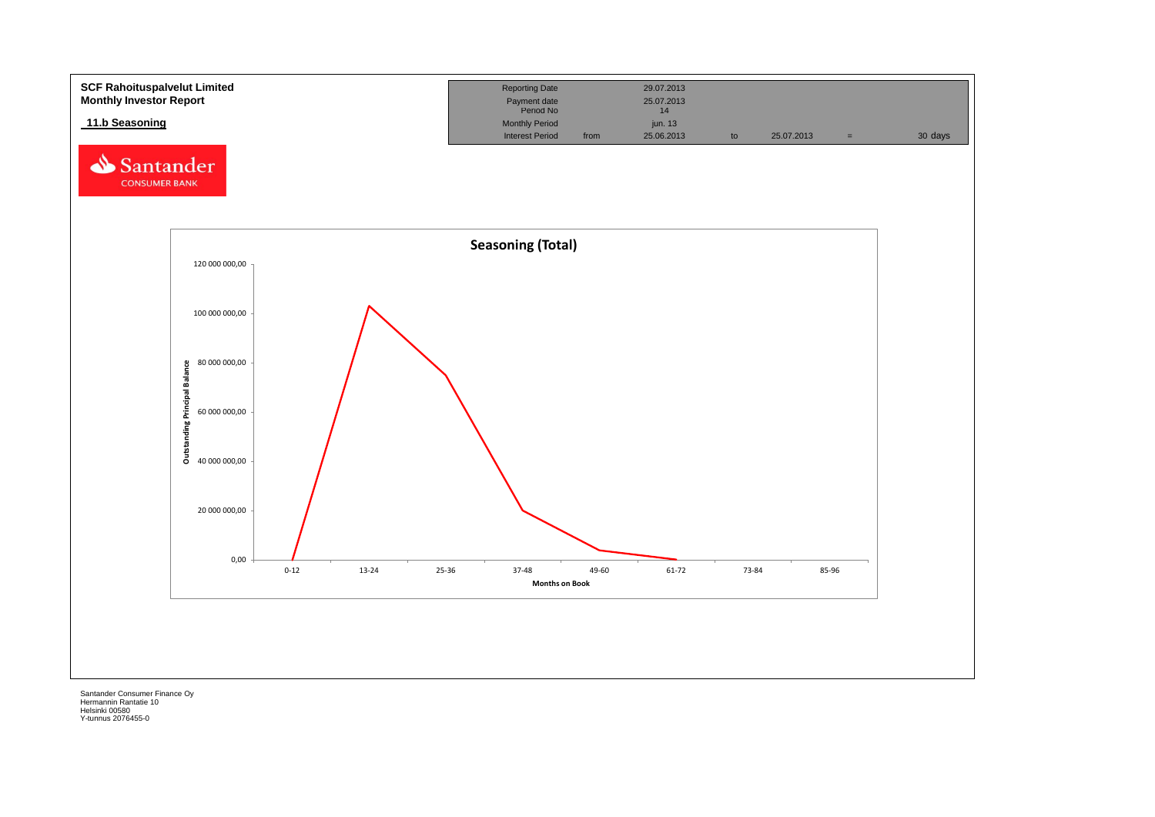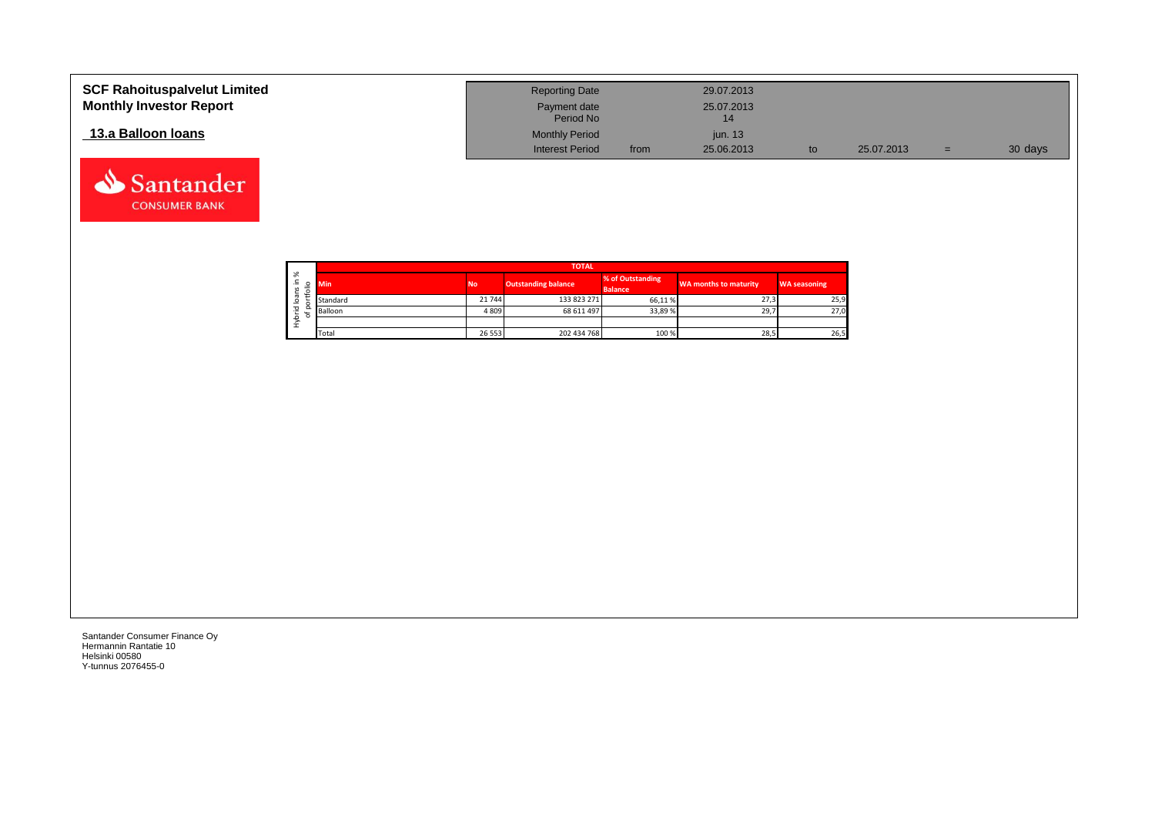| <b>SCF Rahoituspalvelut Limited</b><br><b>Monthly Investor Report</b> | <b>Reporting Date</b><br>Payment date |      | 29.07.2013<br>25.07.2013 |            |     |         |
|-----------------------------------------------------------------------|---------------------------------------|------|--------------------------|------------|-----|---------|
|                                                                       | Period No                             |      | 14                       |            |     |         |
| 13.a Balloon Ioans                                                    | <b>Monthly Period</b>                 |      | <i>iun.</i> 13           |            |     |         |
|                                                                       | <b>Interest Period</b>                | from | 25.06.2013               | 25.07.2013 | $=$ | 30 days |

┑

|                   |        |            |           | <b>TOTAL</b>               |                                    |                       |                     |
|-------------------|--------|------------|-----------|----------------------------|------------------------------------|-----------------------|---------------------|
| ৯<br>≞.<br>S<br>∽ | ۰      | <b>Min</b> | <b>No</b> | <b>Outstanding balance</b> | % of Outstanding<br><b>Balance</b> | WA months to maturity | <b>WA seasoning</b> |
| ത<br>∘            |        | Standard   | 21744     | 133 823 271                | 66.11%                             | 27,3                  | 25,9                |
| 은                 | Q<br>۰ | Balloon    | 4809      | 68 611 497                 | 33,89%                             | 29,7                  | 27,0                |
| ء<br>Σ            |        |            |           |                            |                                    |                       |                     |
|                   |        | Total      | 26 5 5 3  | 202 434 768                | 100 %                              | 28,5                  | 26,5                |

Santander Consumer Finance Oy Hermannin Rantatie 10 Helsinki 00580 Y-tunnus 2076455-0

Santander **CONSUMER BANK**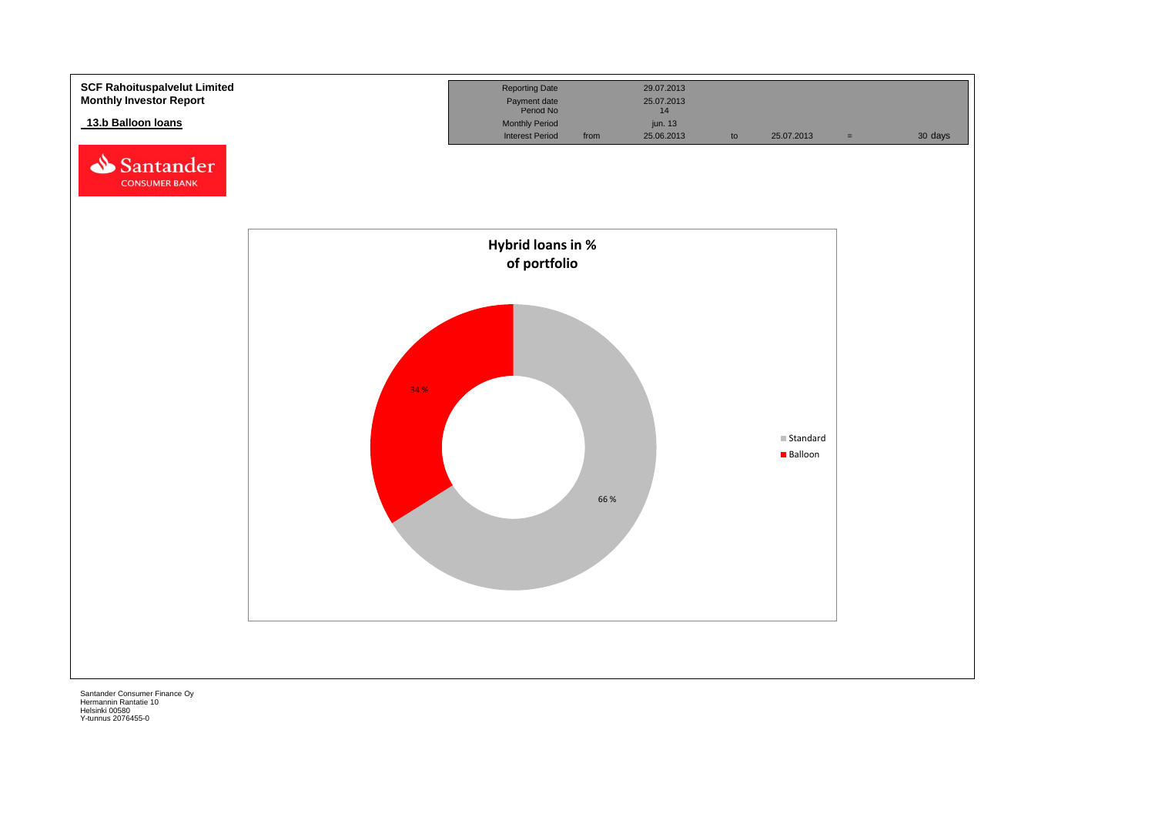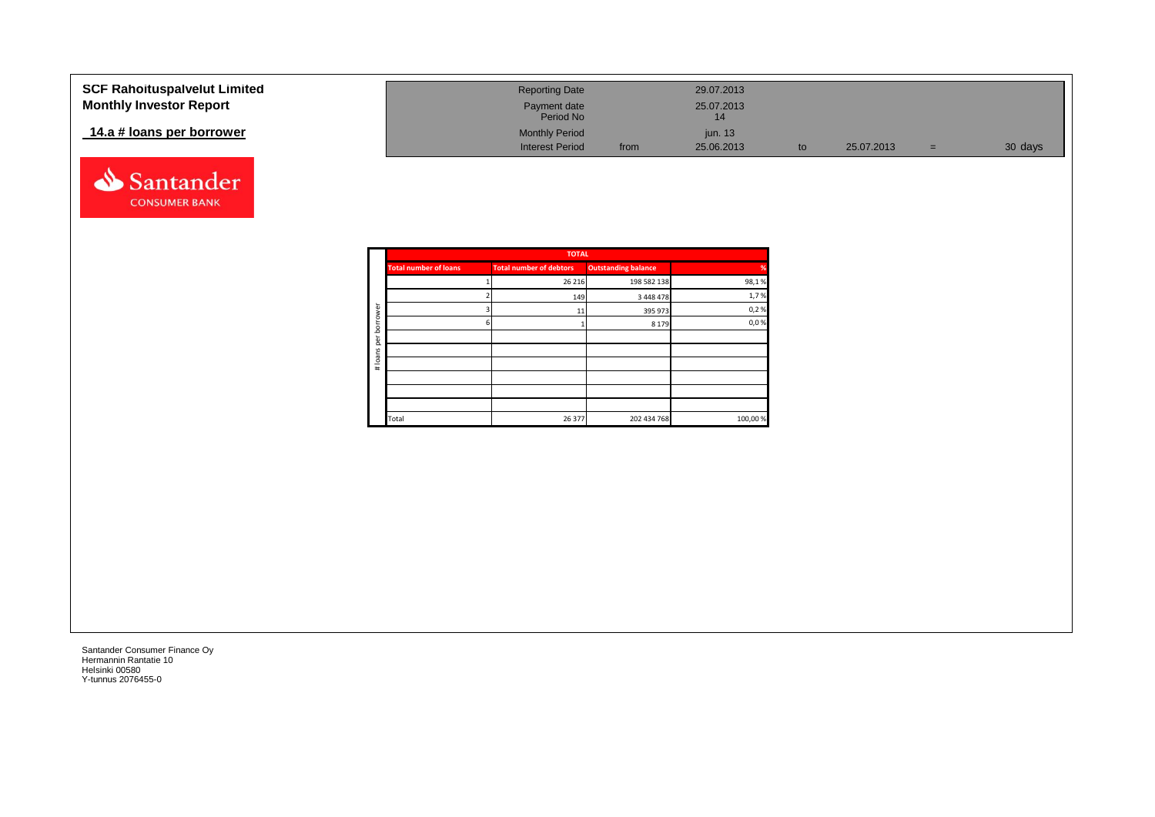| <b>SCF Rahoituspalvelut Limited</b> | <b>Reporting Date</b>     |      | 29.07.2013       |            |     |         |
|-------------------------------------|---------------------------|------|------------------|------------|-----|---------|
| <b>Monthly Investor Report</b>      | Payment date<br>Period No |      | 25.07.2013<br>14 |            |     |         |
| 14.a # loans per borrower           | <b>Monthly Period</b>     |      | jun. 13          |            |     |         |
|                                     | <b>Interest Period</b>    | from | 25.06.2013       | 25.07.2013 | $=$ | 30 days |



|         |                            | <b>TOTAL</b>                   |                              |               |
|---------|----------------------------|--------------------------------|------------------------------|---------------|
| %       | <b>Outstanding balance</b> | <b>Total number of debtors</b> | <b>Total number of loans</b> |               |
| 98,1%   | 198 582 138                | 26 216                         |                              |               |
| 1,7%    | 3 448 478                  | 149                            |                              |               |
| 0,2%    | 395 973                    | 11                             |                              | ā             |
| 0,0%    | 8 1 7 9                    |                                | h                            | row<br>bor    |
|         |                            |                                |                              | per           |
|         |                            |                                |                              |               |
|         |                            |                                |                              | loans<br>$\#$ |
|         |                            |                                |                              |               |
|         |                            |                                |                              |               |
|         |                            |                                |                              |               |
| 100,00% | 202 434 768                | 26 377                         | Total                        |               |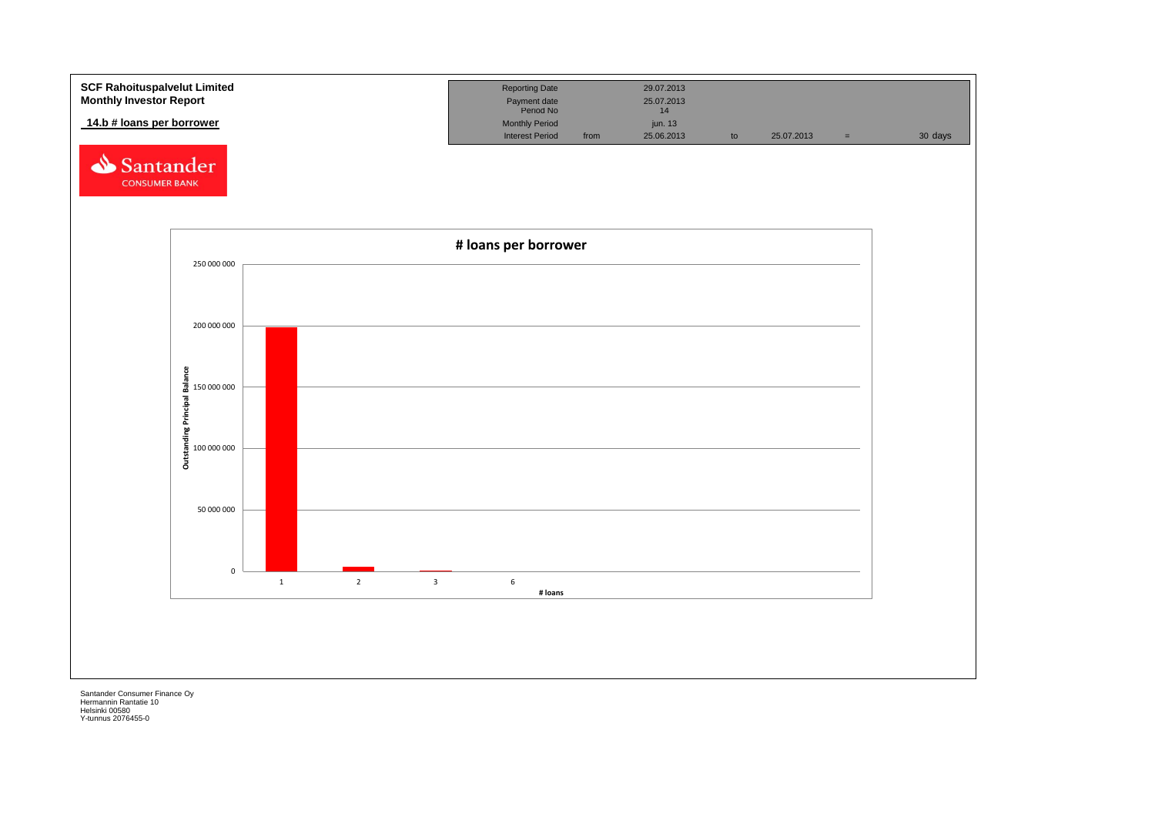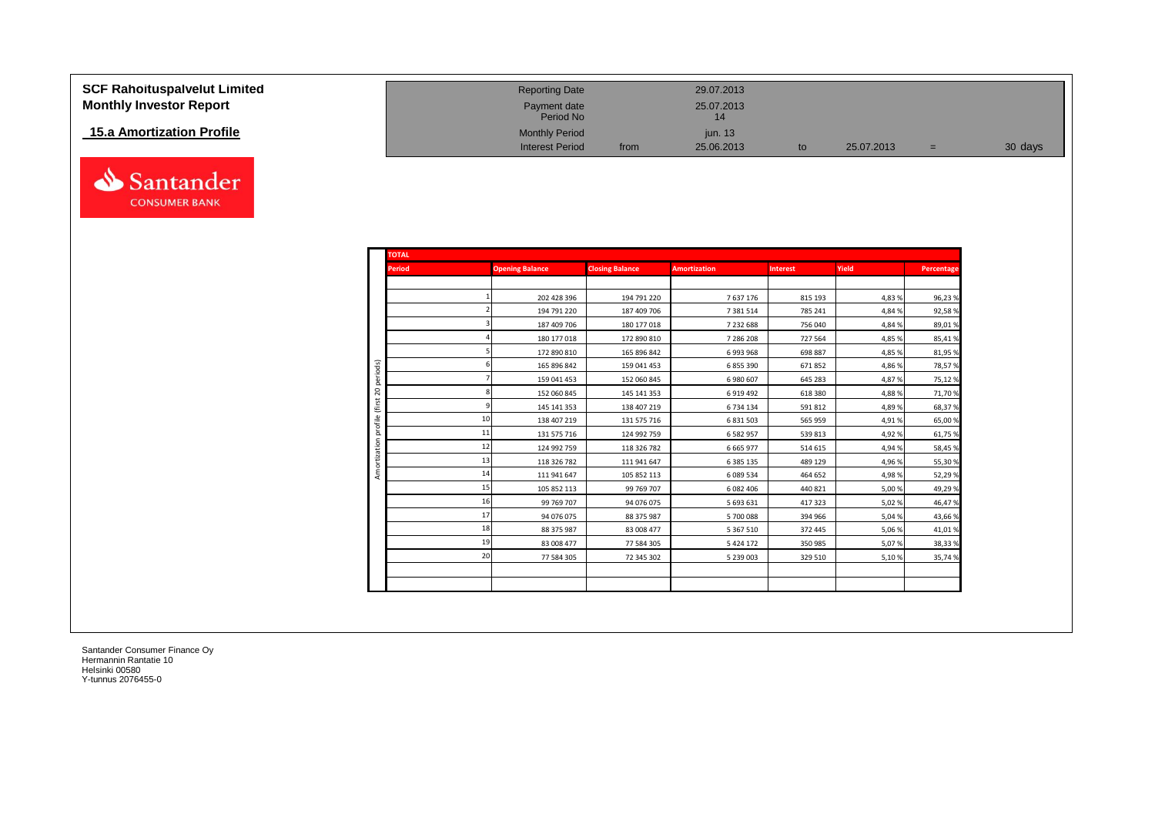| <b>SCF Rahoituspalvelut Limited</b> |
|-------------------------------------|
| <b>Monthly Investor Report</b>      |

## **15.a Amortization Profile**



| SCF Rahoituspalvelut Limited   | <b>Reporting Date</b>     |      | 29.07.2013       |    |            |     |         |
|--------------------------------|---------------------------|------|------------------|----|------------|-----|---------|
| <b>Monthly Investor Report</b> | Payment date<br>Period No |      | 25.07.2013<br>14 |    |            |     |         |
| 15.a Amortization Profile      | <b>Monthly Period</b>     |      | iun. 13          |    |            |     |         |
|                                | <b>Interest Period</b>    | from | 25.06.2013       | to | 25.07.2013 | $=$ | 30 days |

| <b>TOTAL</b>      |    |                        |                        |                     |                 |        |            |
|-------------------|----|------------------------|------------------------|---------------------|-----------------|--------|------------|
| <b>Period</b>     |    | <b>Opening Balance</b> | <b>Closing Balance</b> | <b>Amortization</b> | <b>Interest</b> | Yield  | Percentage |
|                   |    |                        |                        |                     |                 |        |            |
|                   |    | 202 428 396            | 194 791 220            | 7637176             | 815 193         | 4,83 % | 96,23%     |
|                   |    | 194 791 220            | 187 409 706            | 7 381 514           | 785 241         | 4,84 % | 92,58%     |
|                   |    | 187 409 706            | 180 177 018            | 7 232 688           | 756 040         | 4,84 % | 89,01%     |
|                   |    | 180 177 018            | 172 890 810            | 7 286 208           | 727 564         | 4,85 % | 85,41%     |
|                   |    | 172 890 810            | 165 896 842            | 6993968             | 698 887         | 4,85 % | 81,95%     |
| periods)          |    | 165 896 842            | 159 041 453            | 6855390             | 671852          | 4,86 % | 78,57%     |
| $\mathbb S$       |    | 159 041 453            | 152 060 845            | 6980607             | 645 283         | 4,87%  | 75,12%     |
|                   |    | 152 060 845            | 145 141 353            | 6919492             | 618 380         | 4,88%  | 71,70%     |
|                   |    | 145 141 353            | 138 407 219            | 6734134             | 591 812         | 4,89%  | 68,37%     |
| (first<br>profile | 10 | 138 407 219            | 131 575 716            | 6 8 3 1 5 0 3       | 565 959         | 4,91%  | 65,00%     |
|                   | 11 | 131 575 716            | 124 992 759            | 6582957             | 539 813         | 4,92%  | 61,75%     |
|                   | 12 | 124 992 759            | 118 326 782            | 6 6 6 5 9 7 7       | 514 615         | 4,94 % | 58,45%     |
|                   | 13 | 118 326 782            | 111 941 647            | 6 385 135           | 489 129         | 4,96 % | 55,30%     |
| Amortization      | 14 | 111 941 647            | 105 852 113            | 6089534             | 464 652         | 4,98%  | 52,29%     |
|                   | 15 | 105 852 113            | 99 769 707             | 6082406             | 440 821         | 5,00 % | 49,29%     |
|                   | 16 | 99 769 707             | 94 076 075             | 5 693 631           | 417 323         | 5,02%  | 46,47%     |
|                   | 17 | 94 076 075             | 88 375 987             | 5700088             | 394 966         | 5,04 % | 43,66%     |
|                   | 18 | 88 375 987             | 83 008 477             | 5 367 510           | 372 445         | 5,06 % | 41,01%     |
|                   | 19 | 83 008 477             | 77 584 305             | 5424172             | 350 985         | 5,07%  | 38,33%     |
|                   | 20 | 77 584 305             | 72 345 302             | 5 239 003           | 329 510         | 5,10%  | 35,74%     |
|                   |    |                        |                        |                     |                 |        |            |
|                   |    |                        |                        |                     |                 |        |            |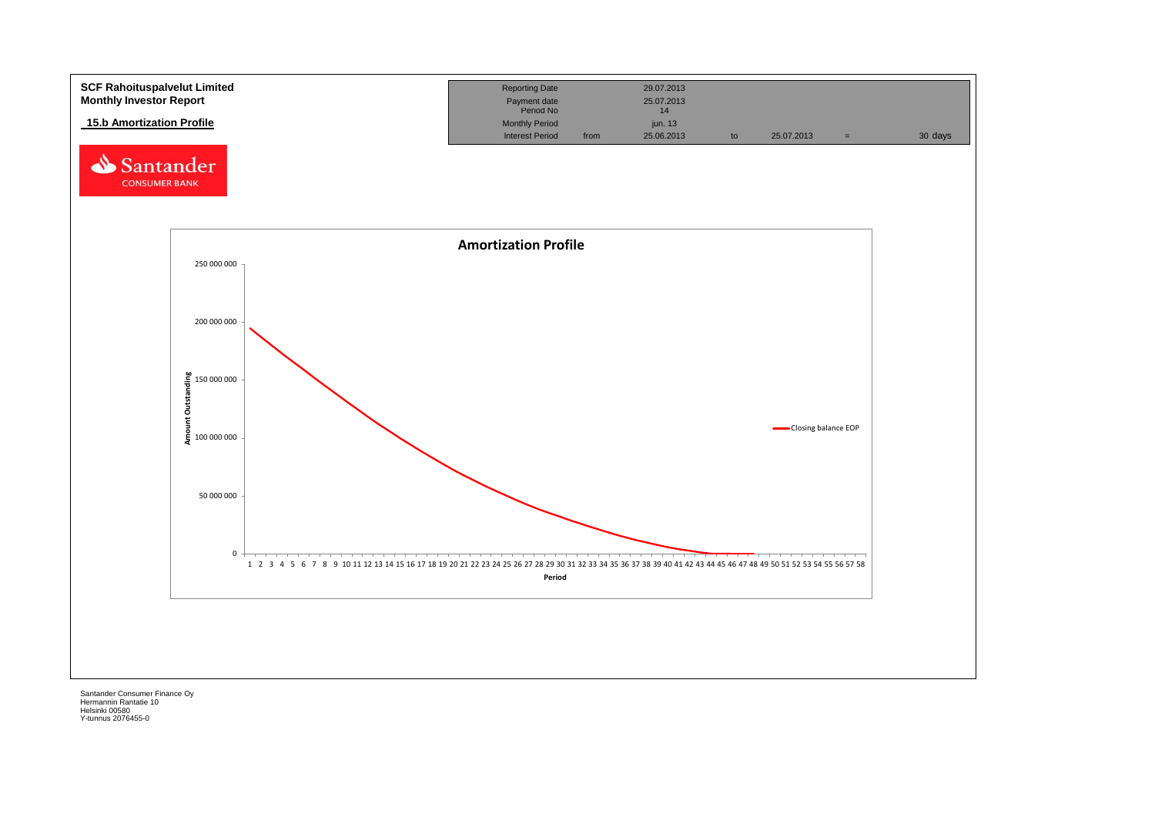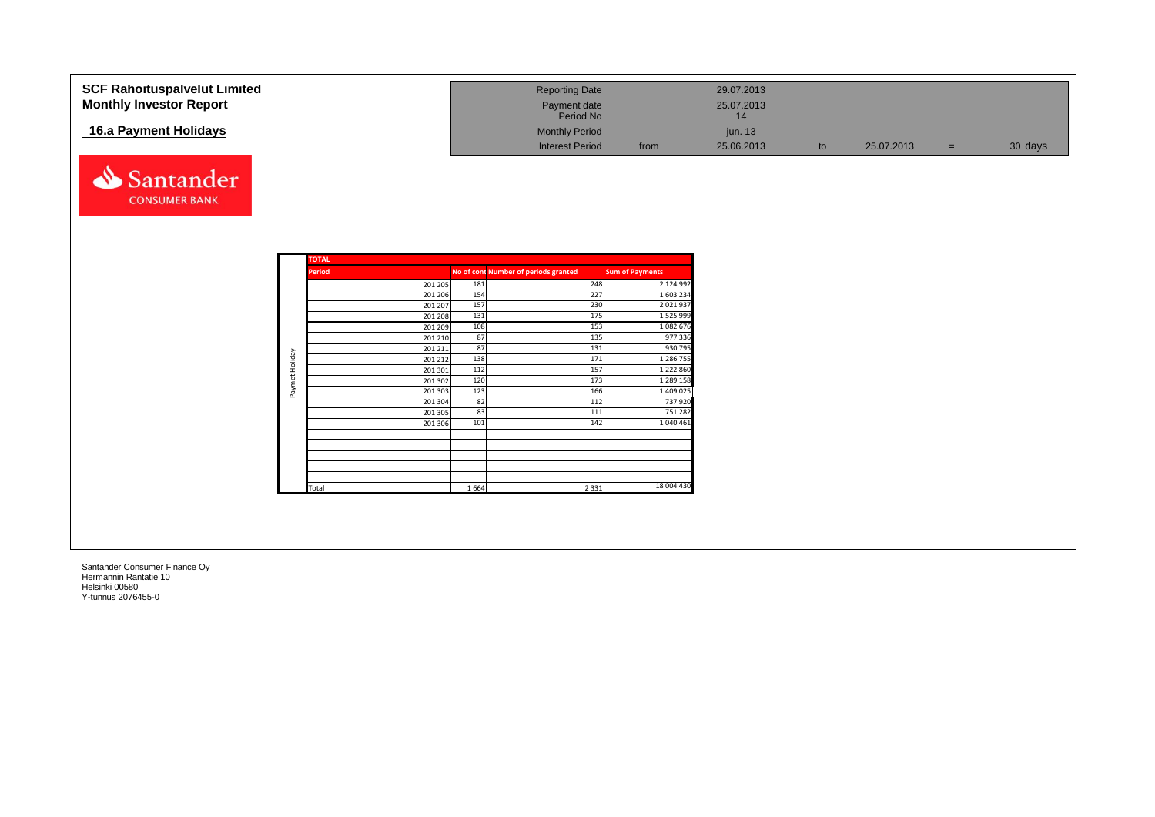| <b>SCF Rahoituspalvelut Limited</b> | <b>Reporting Date</b>     | 29.07.2013         |    |            |     |         |
|-------------------------------------|---------------------------|--------------------|----|------------|-----|---------|
| <b>Monthly Investor Report</b>      | Payment date<br>Period No | 25.07.2013<br>14   |    |            |     |         |
| 16.a Payment Holidays               | <b>Monthly Period</b>     | jun. 13            |    |            |     |         |
|                                     | <b>Interest Period</b>    | 25.06.2013<br>from | to | 25.07.2013 | $=$ | 30 days |
| Santander                           |                           |                    |    |            |     |         |

| <b>TOTAL</b><br><b>Period</b> |         |      | No of cont Number of periods granted | <b>Sum of Payments</b> |
|-------------------------------|---------|------|--------------------------------------|------------------------|
|                               | 201 205 | 181  | 248                                  | 2 124 992              |
|                               | 201 206 | 154  | 227                                  | 1 603 234              |
|                               | 201 207 | 157  | 230                                  | 2 0 2 1 9 3 7          |
|                               | 201 208 | 131  | 175                                  | 1 525 999              |
|                               | 201 209 | 108  | 153                                  | 1 082 676              |
|                               | 201 210 | 87   | 135                                  | 977 336                |
|                               | 201 211 | 87   | 131                                  | 930 795                |
|                               | 201 212 | 138  | 171                                  | 1 286 755              |
|                               | 201 301 | 112  | 157                                  | 1 222 860              |
|                               | 201 302 | 120  | 173                                  | 1 289 158              |
|                               | 201 303 | 123  | 166                                  | 1 409 025              |
|                               | 201 304 | 82   | 112                                  | 737 920                |
|                               | 201 305 | 83   | 111                                  | 751 282                |
|                               | 201 306 | 101  | 142                                  | 1 040 461              |
|                               |         |      |                                      |                        |
|                               |         |      |                                      |                        |
|                               |         |      |                                      |                        |
|                               |         |      |                                      |                        |
| Total                         |         | 1664 | 2 3 3 1                              | 18 004 430             |

**CONSUMER BANK**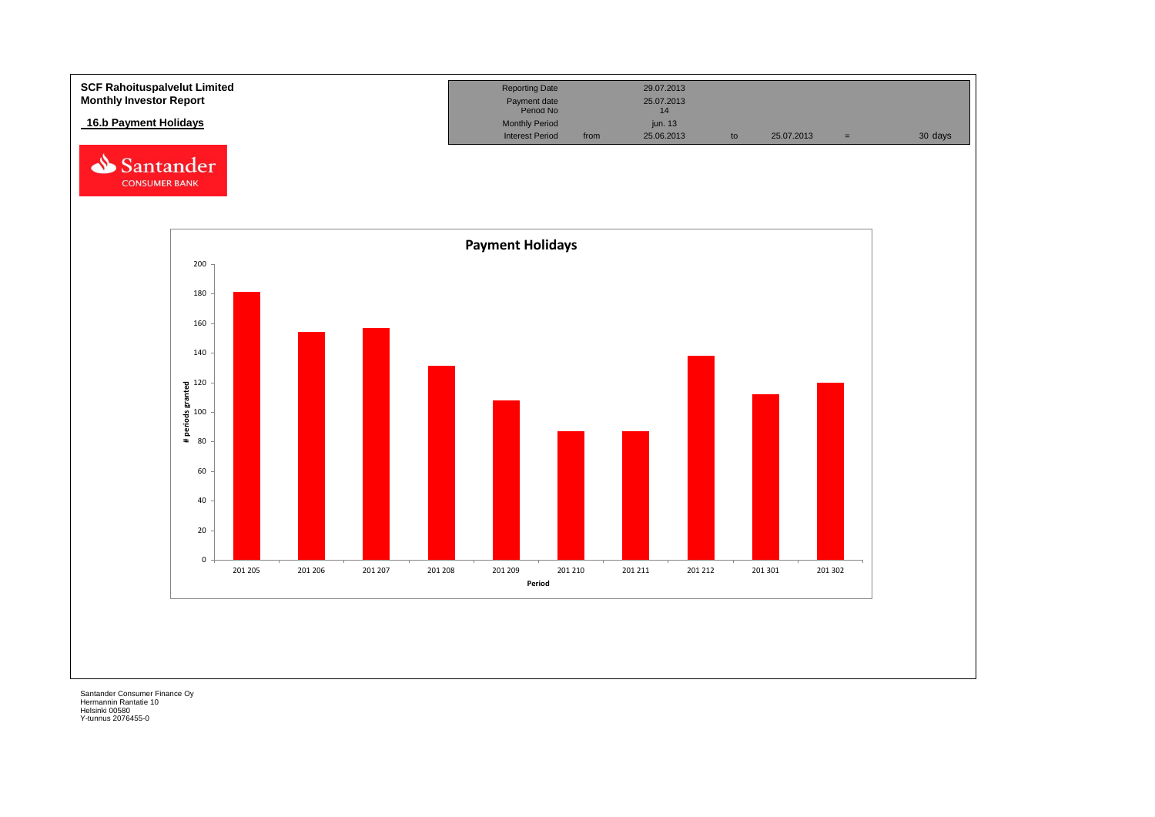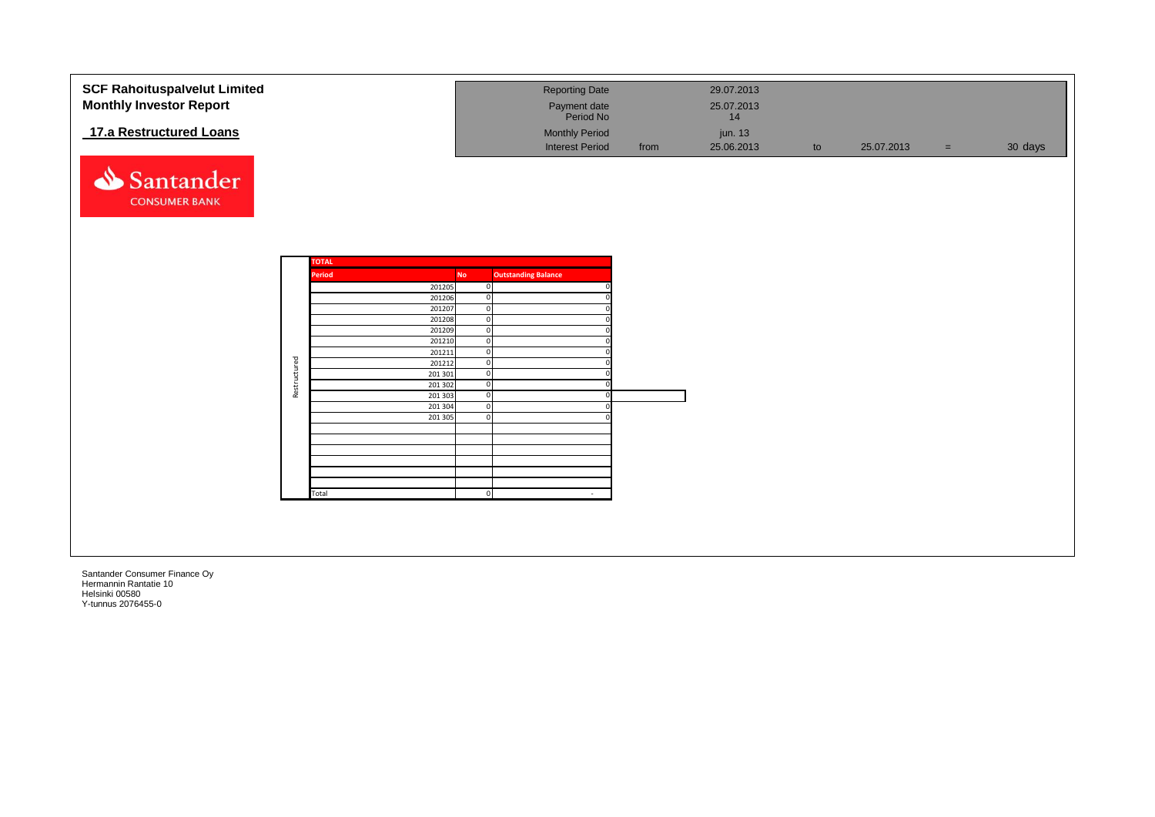| <b>SCF Rahoituspalvelut Limited</b><br><b>Monthly Investor Report</b> |              |              |                    |                          | <b>Reporting Date</b><br>Payment date<br>Period No |      | 29.07.2013<br>25.07.2013<br>14 |    |            |     |         |
|-----------------------------------------------------------------------|--------------|--------------|--------------------|--------------------------|----------------------------------------------------|------|--------------------------------|----|------------|-----|---------|
| 17.a Restructured Loans                                               |              |              |                    |                          | <b>Monthly Period</b><br><b>Interest Period</b>    | from | jun. 13<br>25.06.2013          | to | 25.07.2013 | $=$ | 30 days |
| Santander                                                             |              |              |                    |                          |                                                    |      |                                |    |            |     |         |
| <b>CONSUMER BANK</b>                                                  |              |              |                    |                          |                                                    |      |                                |    |            |     |         |
|                                                                       |              |              |                    |                          |                                                    |      |                                |    |            |     |         |
|                                                                       |              | <b>TOTAL</b> |                    |                          |                                                    |      |                                |    |            |     |         |
|                                                                       |              | Period       | 201205             | <b>No</b><br>$\mathbf 0$ | <b>Outstanding Balance</b>                         |      |                                |    |            |     |         |
|                                                                       |              |              | 201206             |                          | $\mathbf 0$                                        |      |                                |    |            |     |         |
|                                                                       |              |              | 201207             |                          | $\overline{0}$                                     |      |                                |    |            |     |         |
|                                                                       |              |              | 201208             | $\mathbf 0$              |                                                    |      |                                |    |            |     |         |
|                                                                       |              |              | 201209<br>201210   |                          | $\mathbf 0$<br>$\mathbf 0$                         |      |                                |    |            |     |         |
|                                                                       |              |              | 201211             | $\mathbf 0$              |                                                    |      |                                |    |            |     |         |
|                                                                       |              |              | 201212             |                          | $\mathbf 0$                                        |      |                                |    |            |     |         |
|                                                                       |              |              | 201 301            |                          | $\overline{0}$                                     |      |                                |    |            |     |         |
|                                                                       | Restructured |              | 201 302<br>201 303 | $\mathbf 0$              | $\overline{0}$                                     |      |                                |    |            |     |         |
|                                                                       |              |              | 201 304            |                          | $\mathbf 0$                                        |      |                                |    |            |     |         |
|                                                                       |              |              | 201 305            | $\mathbf 0$              |                                                    |      |                                |    |            |     |         |
|                                                                       |              |              |                    |                          |                                                    |      |                                |    |            |     |         |
|                                                                       |              |              |                    |                          |                                                    |      |                                |    |            |     |         |
|                                                                       |              |              |                    |                          |                                                    |      |                                |    |            |     |         |
|                                                                       |              |              |                    |                          |                                                    |      |                                |    |            |     |         |
|                                                                       |              |              |                    |                          |                                                    |      |                                |    |            |     |         |
|                                                                       |              | Total        |                    | $\Omega$                 |                                                    |      |                                |    |            |     |         |
|                                                                       |              |              |                    |                          |                                                    |      |                                |    |            |     |         |
|                                                                       |              |              |                    |                          |                                                    |      |                                |    |            |     |         |
|                                                                       |              |              |                    |                          |                                                    |      |                                |    |            |     |         |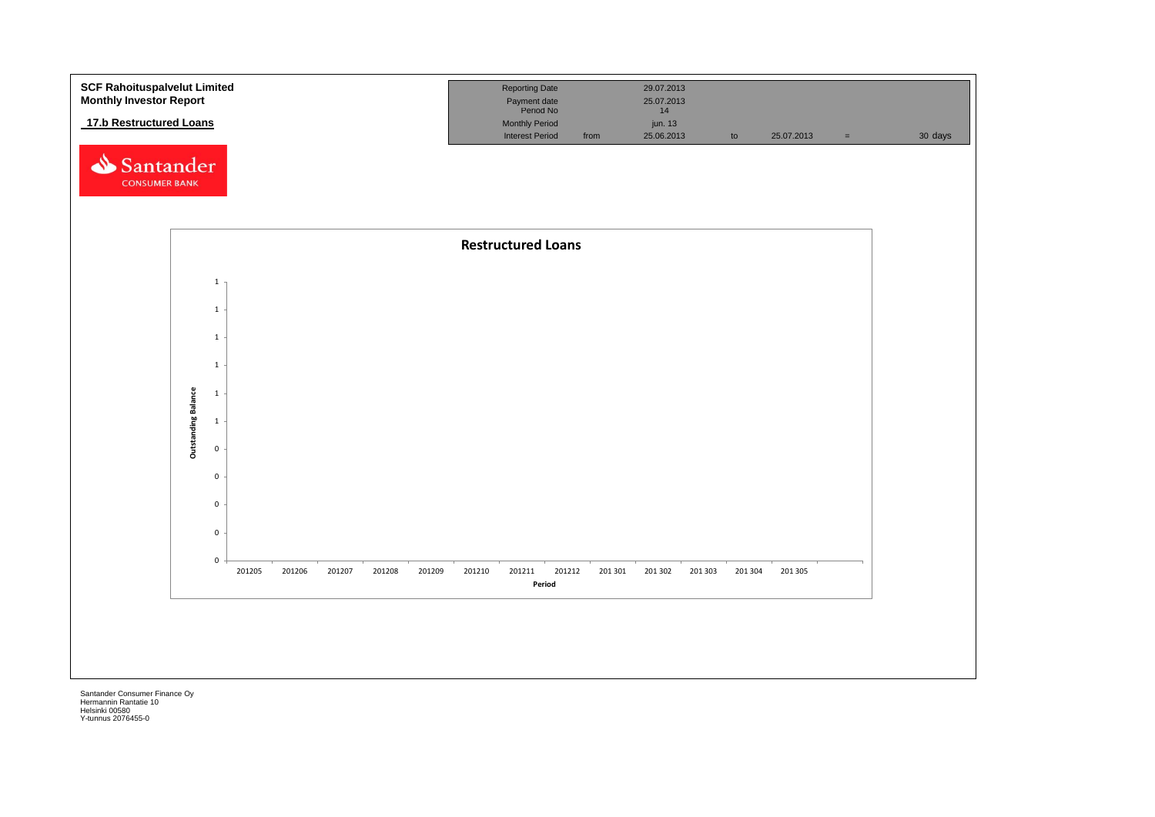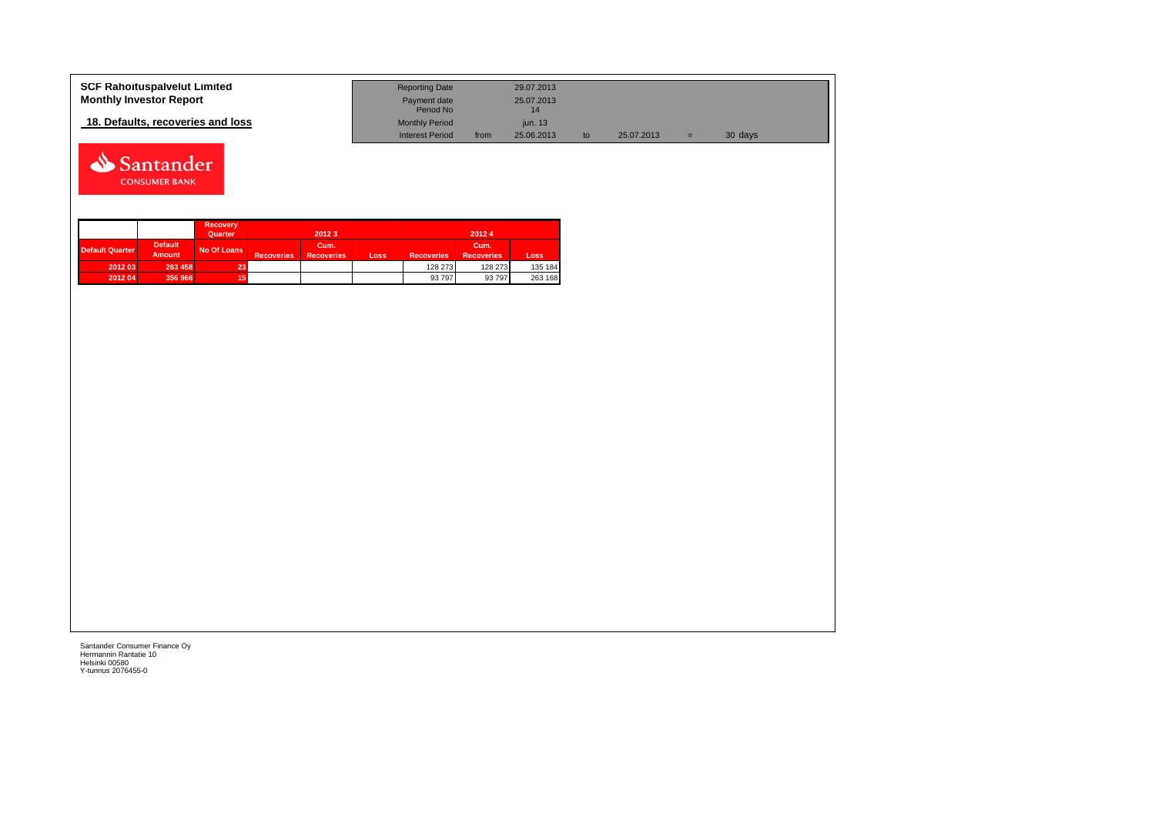| <b>SCF Rahoituspalvelut Limited</b> | <b>Reporting Date</b>     |      | 29.07.2013 |            |   |         |  |
|-------------------------------------|---------------------------|------|------------|------------|---|---------|--|
| <b>Monthly Investor Report</b>      | Payment date<br>Period No |      | 25.07.2013 |            |   |         |  |
| 18. Defaults, recoveries and loss   | <b>Monthly Period</b>     |      | jun. 13    |            |   |         |  |
|                                     | <b>Interest Period</b>    | from | 25.06.2013 | 25.07.2013 | = | 30 days |  |



|                        |                                 | <b>Recovery</b><br>Quarter |                   | 2012 3                    |      |                   | 20124                     |         |
|------------------------|---------------------------------|----------------------------|-------------------|---------------------------|------|-------------------|---------------------------|---------|
| <b>Default Quarter</b> | <b>Default</b><br><b>Amount</b> | No Of Loans                | <b>Recoveries</b> | Cum.<br><b>Recoveries</b> | Loss | <b>Recoveries</b> | Cum.<br><b>Recoveries</b> | Loss    |
| 2012 03                | 263 458                         | 23                         |                   |                           |      | 128 273           | 128 273                   | 135 184 |
| 2012 04                | 356 966                         |                            |                   |                           |      | 93 797            | 93 797                    | 263 168 |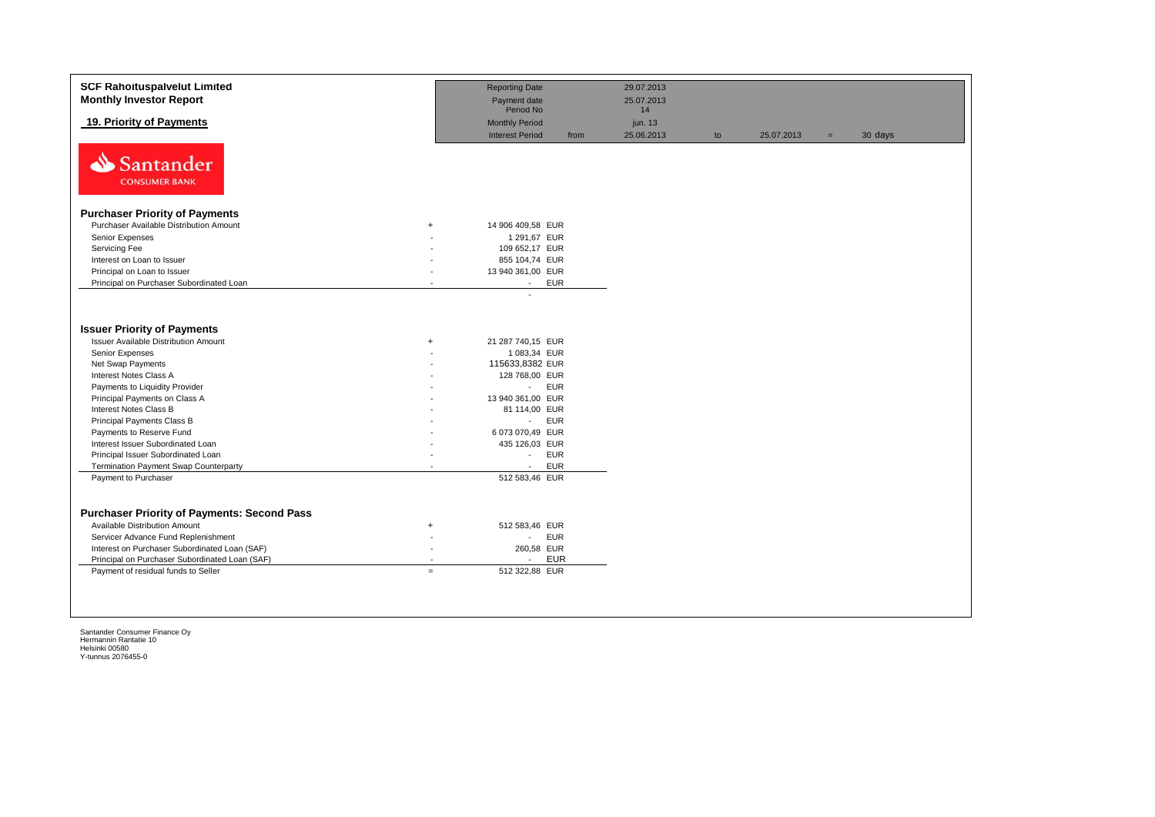| <b>SCF Rahoituspalvelut Limited</b><br><b>Monthly Investor Report</b> |                          | <b>Reporting Date</b><br>Payment date           |      | 29.07.2013<br>25.07.2013 |    |            |     |         |
|-----------------------------------------------------------------------|--------------------------|-------------------------------------------------|------|--------------------------|----|------------|-----|---------|
|                                                                       |                          | Period No                                       |      | 14                       |    |            |     |         |
| 19. Priority of Payments                                              |                          | <b>Monthly Period</b><br><b>Interest Period</b> | from | jun. 13<br>25.06.2013    | to | 25.07.2013 | $=$ | 30 days |
| ⇘<br>Santander<br><b>CONSUMER BANK</b>                                |                          |                                                 |      |                          |    |            |     |         |
| <b>Purchaser Priority of Payments</b>                                 |                          |                                                 |      |                          |    |            |     |         |
| Purchaser Available Distribution Amount                               | $+$                      | 14 906 409,58 EUR                               |      |                          |    |            |     |         |
| Senior Expenses                                                       |                          | 1 291,67 EUR                                    |      |                          |    |            |     |         |
| Servicing Fee                                                         |                          | 109 652,17 EUR                                  |      |                          |    |            |     |         |
| Interest on Loan to Issuer                                            |                          | 855 104,74 EUR                                  |      |                          |    |            |     |         |
| Principal on Loan to Issuer                                           |                          | 13 940 361,00 EUR                               |      |                          |    |            |     |         |
| Principal on Purchaser Subordinated Loan                              | $\sim$                   | <b>EUR</b><br>$\sim$                            |      |                          |    |            |     |         |
|                                                                       |                          |                                                 |      |                          |    |            |     |         |
| <b>Issuer Priority of Payments</b>                                    |                          |                                                 |      |                          |    |            |     |         |
| <b>Issuer Available Distribution Amount</b>                           | $+$                      | 21 287 740,15 EUR                               |      |                          |    |            |     |         |
| Senior Expenses                                                       |                          | 1 083,34 EUR                                    |      |                          |    |            |     |         |
| Net Swap Payments                                                     |                          | 115633,8382 EUR                                 |      |                          |    |            |     |         |
| Interest Notes Class A                                                |                          | 128 768,00 EUR                                  |      |                          |    |            |     |         |
| Payments to Liquidity Provider                                        |                          | <b>EUR</b><br>$\sim$                            |      |                          |    |            |     |         |
| Principal Payments on Class A                                         |                          | 13 940 361,00 EUR                               |      |                          |    |            |     |         |
| <b>Interest Notes Class B</b>                                         |                          | 81 114,00 EUR                                   |      |                          |    |            |     |         |
| Principal Payments Class B                                            |                          | <b>EUR</b><br>$\omega_{\rm{max}}$               |      |                          |    |            |     |         |
| Payments to Reserve Fund                                              |                          | 6 073 070,49 EUR                                |      |                          |    |            |     |         |
| Interest Issuer Subordinated Loan                                     |                          | 435 126,03 EUR                                  |      |                          |    |            |     |         |
| Principal Issuer Subordinated Loan                                    |                          | <b>EUR</b><br>$\mathcal{L}_{\mathcal{A}}$       |      |                          |    |            |     |         |
| Termination Payment Swap Counterparty                                 |                          | <b>EUR</b><br>$\sim$<br>512 583,46 EUR          |      |                          |    |            |     |         |
| Payment to Purchaser                                                  |                          |                                                 |      |                          |    |            |     |         |
|                                                                       |                          |                                                 |      |                          |    |            |     |         |
| <b>Purchaser Priority of Payments: Second Pass</b>                    |                          |                                                 |      |                          |    |            |     |         |
| <b>Available Distribution Amount</b>                                  | $\ddot{}$                | 512 583,46 EUR                                  |      |                          |    |            |     |         |
| Servicer Advance Fund Replenishment                                   |                          | <b>EUR</b><br>$\blacksquare$                    |      |                          |    |            |     |         |
| Interest on Purchaser Subordinated Loan (SAF)                         | $\overline{\phantom{a}}$ | 260,58 EUR                                      |      |                          |    |            |     |         |
| Principal on Purchaser Subordinated Loan (SAF)                        |                          | <b>EUR</b><br>$\overline{a}$                    |      |                          |    |            |     |         |
| Payment of residual funds to Seller                                   | $=$                      | 512 322,88 EUR                                  |      |                          |    |            |     |         |
|                                                                       |                          |                                                 |      |                          |    |            |     |         |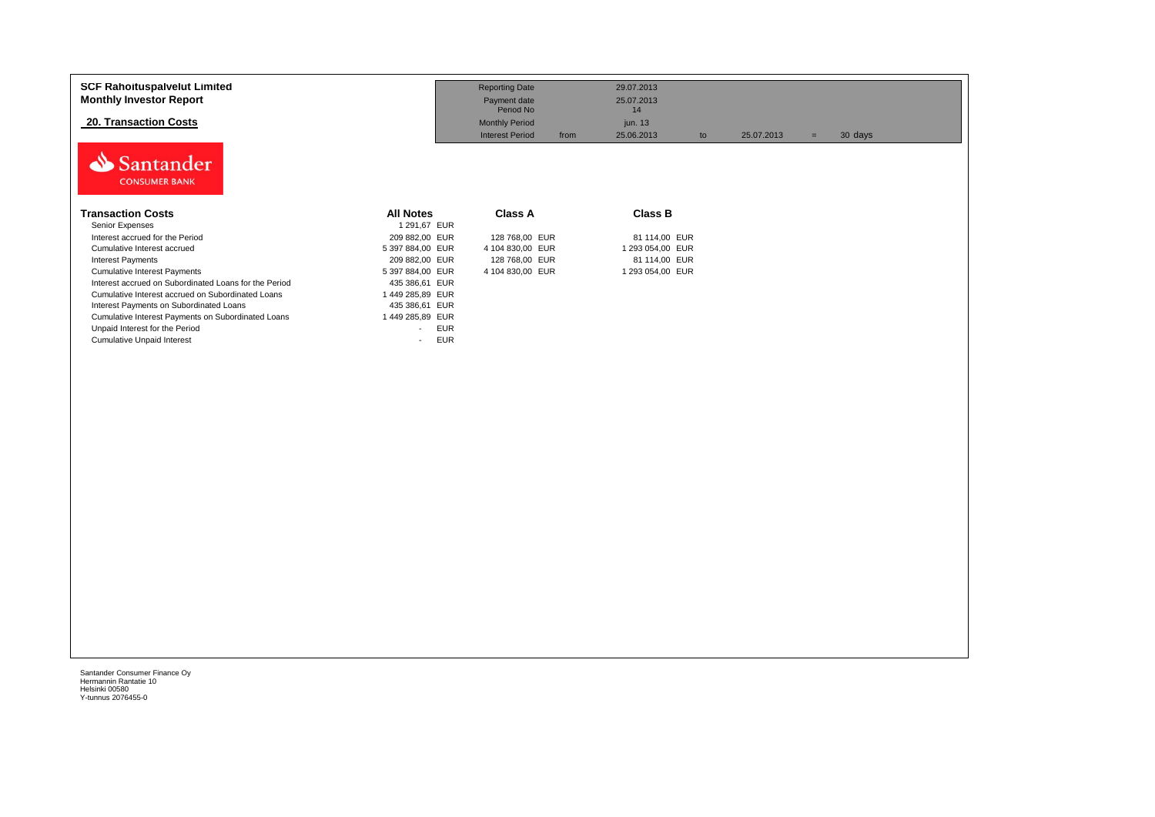| <b>SCF Rahoituspalvelut Limited</b><br><b>Monthly Investor Report</b><br><b>20. Transaction Costs</b> |                      | <b>Reporting Date</b><br>Payment date<br>Period No<br><b>Monthly Period</b><br><b>Interest Period</b> | 29.07.2013<br>25.07.2013<br>14<br>jun. 13<br>25.06.2013<br>from | to | 25.07.2013 | $=$ | 30 days |
|-------------------------------------------------------------------------------------------------------|----------------------|-------------------------------------------------------------------------------------------------------|-----------------------------------------------------------------|----|------------|-----|---------|
| Santander<br><b>CONSUMER BANK</b>                                                                     |                      |                                                                                                       |                                                                 |    |            |     |         |
| <b>Transaction Costs</b>                                                                              | <b>All Notes</b>     | <b>Class A</b>                                                                                        | <b>Class B</b>                                                  |    |            |     |         |
| Senior Expenses                                                                                       | 1 291,67 EUR         |                                                                                                       |                                                                 |    |            |     |         |
| Interest accrued for the Period                                                                       | 209 882,00 EUR       | 128 768,00 EUR                                                                                        | 81 114,00 EUR                                                   |    |            |     |         |
| Cumulative Interest accrued                                                                           | 5 397 884,00 EUR     | 4 104 830,00 EUR                                                                                      | 1 293 054,00 EUR                                                |    |            |     |         |
| <b>Interest Payments</b>                                                                              | 209 882,00 EUR       | 128 768,00 EUR                                                                                        | 81 114,00 EUR                                                   |    |            |     |         |
| <b>Cumulative Interest Payments</b>                                                                   | 5 397 884,00 EUR     | 4 104 830,00 EUR                                                                                      | 1 293 054,00 EUR                                                |    |            |     |         |
| Interest accrued on Subordinated Loans for the Period                                                 | 435 386,61 EUR       |                                                                                                       |                                                                 |    |            |     |         |
| Cumulative Interest accrued on Subordinated Loans                                                     | 1449 285,89 EUR      |                                                                                                       |                                                                 |    |            |     |         |
| Interest Payments on Subordinated Loans                                                               | 435 386,61 EUR       |                                                                                                       |                                                                 |    |            |     |         |
| Cumulative Interest Payments on Subordinated Loans                                                    | 1449 285,89 EUR      |                                                                                                       |                                                                 |    |            |     |         |
| Unpaid Interest for the Period                                                                        | <b>EUR</b><br>$\sim$ |                                                                                                       |                                                                 |    |            |     |         |
| <b>Cumulative Unpaid Interest</b>                                                                     | <b>EUR</b>           |                                                                                                       |                                                                 |    |            |     |         |
|                                                                                                       |                      |                                                                                                       |                                                                 |    |            |     |         |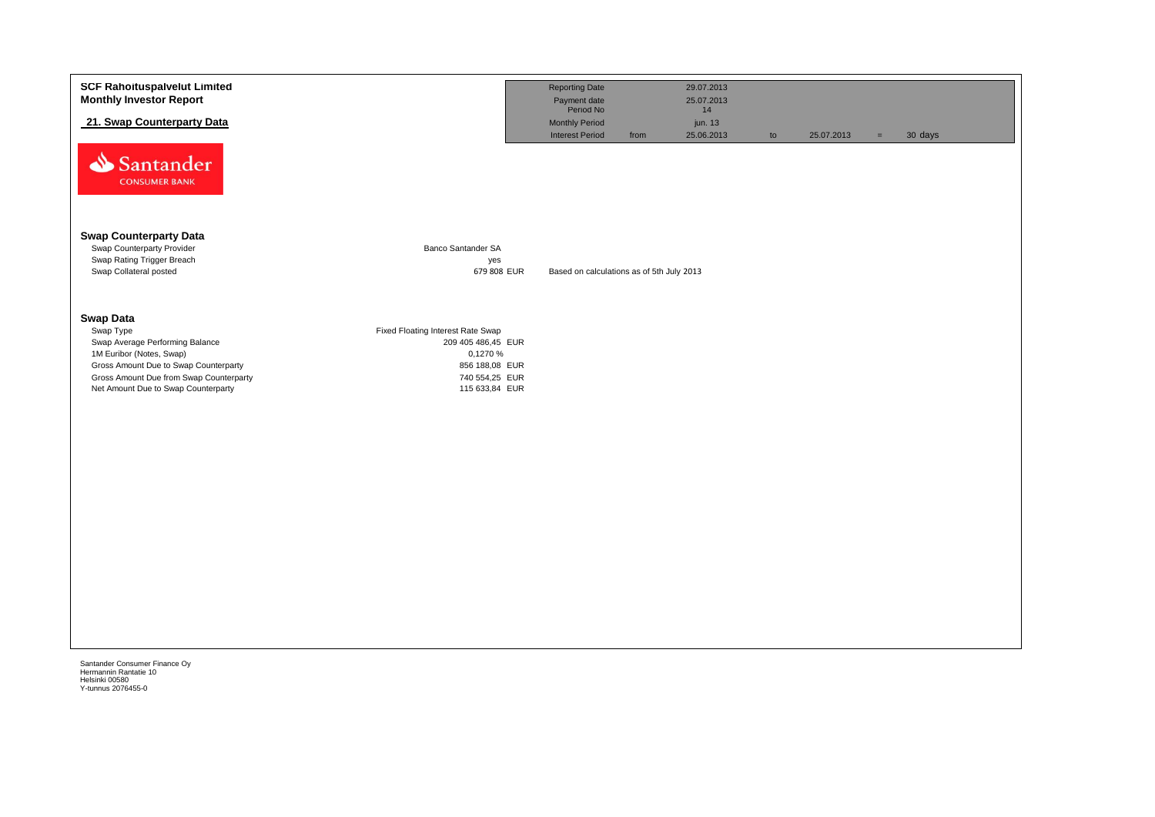| <b>SCF Rahoituspalvelut Limited</b><br><b>Monthly Investor Report</b>            |                                   | <b>Reporting Date</b><br>Payment date<br>Period No      | 29.07.2013<br>25.07.2013    |    |            |                     |  |
|----------------------------------------------------------------------------------|-----------------------------------|---------------------------------------------------------|-----------------------------|----|------------|---------------------|--|
| 21. Swap Counterparty Data                                                       |                                   | <b>Monthly Period</b><br><b>Interest Period</b><br>from | 14<br>jun. 13<br>25.06.2013 | to | 25.07.2013 | 30 days<br>$\equiv$ |  |
| Santander<br><b>CONSUMER BANK</b>                                                |                                   |                                                         |                             |    |            |                     |  |
| <b>Swap Counterparty Data</b><br>Swap Counterparty Provider                      | Banco Santander SA                |                                                         |                             |    |            |                     |  |
| Swap Rating Trigger Breach<br>Swap Collateral posted                             | yes<br>679 808 EUR                | Based on calculations as of 5th July 2013               |                             |    |            |                     |  |
| <b>Swap Data</b><br>Swap Type                                                    | Fixed Floating Interest Rate Swap |                                                         |                             |    |            |                     |  |
| Swap Average Performing Balance<br>1M Euribor (Notes, Swap)                      | 209 405 486,45 EUR<br>0,1270 %    |                                                         |                             |    |            |                     |  |
| Gross Amount Due to Swap Counterparty<br>Gross Amount Due from Swap Counterparty | 856 188,08 EUR<br>740 554,25 EUR  |                                                         |                             |    |            |                     |  |
| Net Amount Due to Swap Counterparty                                              | 115 633,84 EUR                    |                                                         |                             |    |            |                     |  |
|                                                                                  |                                   |                                                         |                             |    |            |                     |  |
|                                                                                  |                                   |                                                         |                             |    |            |                     |  |
|                                                                                  |                                   |                                                         |                             |    |            |                     |  |
|                                                                                  |                                   |                                                         |                             |    |            |                     |  |
|                                                                                  |                                   |                                                         |                             |    |            |                     |  |
|                                                                                  |                                   |                                                         |                             |    |            |                     |  |
|                                                                                  |                                   |                                                         |                             |    |            |                     |  |
|                                                                                  |                                   |                                                         |                             |    |            |                     |  |
|                                                                                  |                                   |                                                         |                             |    |            |                     |  |
|                                                                                  |                                   |                                                         |                             |    |            |                     |  |
|                                                                                  |                                   |                                                         |                             |    |            |                     |  |
|                                                                                  |                                   |                                                         |                             |    |            |                     |  |
| Santander Consumer Finance Oy<br>Hermannin Rantatie 10                           |                                   |                                                         |                             |    |            |                     |  |
| Helsinki 00580<br>Y-tunnus 2076455-0                                             |                                   |                                                         |                             |    |            |                     |  |